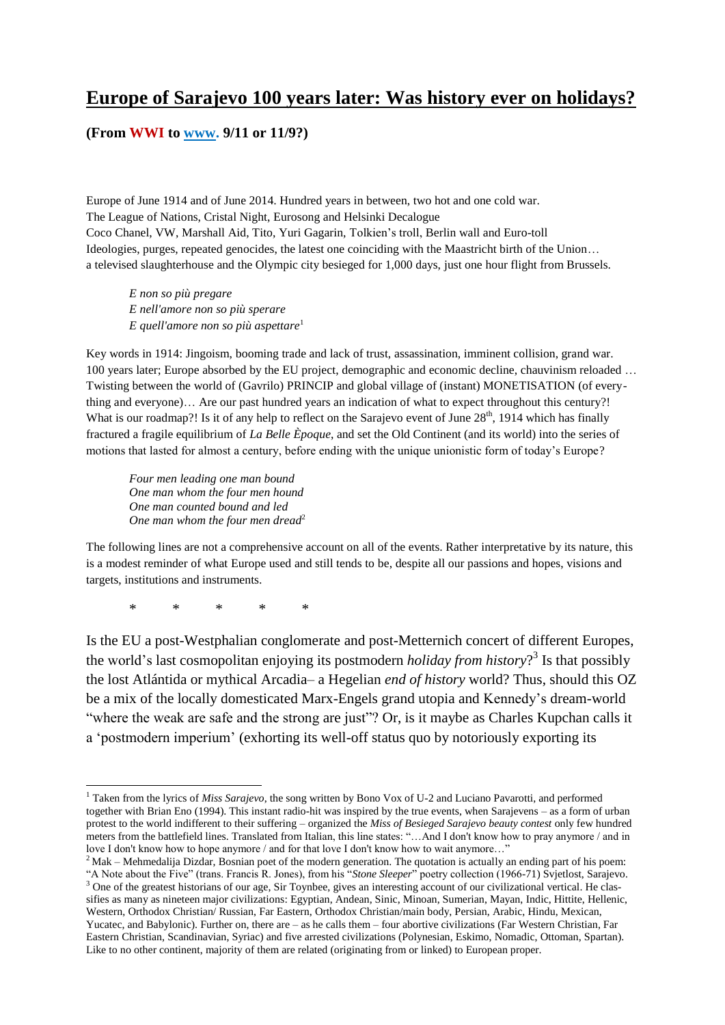# **Europe of Sarajevo 100 years later: Was history ever on holidays?**

## **(From WWI to www. 9/11 or 11/9?)**

Europe of June 1914 and of June 2014. Hundred years in between, two hot and one cold war. The League of Nations, Cristal Night, Eurosong and Helsinki Decalogue Coco Chanel, VW, Marshall Aid, Tito, Yuri Gagarin, Tolkien"s troll, Berlin wall and Euro-toll Ideologies, purges, repeated genocides, the latest one coinciding with the Maastricht birth of the Union… a televised slaughterhouse and the Olympic city besieged for 1,000 days, just one hour flight from Brussels.

*E non so più pregare E nell'amore non so più sperare E quell'amore non so più aspettare*<sup>1</sup>

Key words in 1914: Jingoism, booming trade and lack of trust, assassination, imminent collision, grand war. 100 years later; Europe absorbed by the EU project, demographic and economic decline, chauvinism reloaded … Twisting between the world of (Gavrilo) PRINCIP and global village of (instant) MONETISATION (of everything and everyone)… Are our past hundred years an indication of what to expect throughout this century?! What is our roadmap?! Is it of any help to reflect on the Sarajevo event of June 28<sup>th</sup>, 1914 which has finally fractured a fragile equilibrium of *La Belle Èpoque*, and set the Old Continent (and its world) into the series of motions that lasted for almost a century, before ending with the unique unionistic form of today"s Europe?

*Four men leading one man bound One man whom the four men hound One man counted bound and led One man whom the four men dread*<sup>2</sup>

The following lines are not a comprehensive account on all of the events. Rather interpretative by its nature, this is a modest reminder of what Europe used and still tends to be, despite all our passions and hopes, visions and targets, institutions and instruments.

\* \* \* \* \*

**.** 

Is the EU a post-Westphalian conglomerate and post-Metternich concert of different Europes, the world"s last cosmopolitan enjoying its postmodern *holiday from history*? 3 Is that possibly the lost Atlántida or mythical Arcadia– a Hegelian *end of history* world? Thus, should this OZ be a mix of the locally domesticated Marx-Engels grand utopia and Kennedy"s dream-world "where the weak are safe and the strong are just"? Or, is it maybe as Charles Kupchan calls it a "postmodern imperium" (exhorting its well-off status quo by notoriously exporting its

<sup>1</sup> Taken from the lyrics of *Miss Sarajevo*, the song written by Bono Vox of U-2 and Luciano Pavarotti, and performed together with Brian Eno (1994). This instant radio-hit was inspired by the true events, when Sarajevens – as a form of urban protest to the world indifferent to their suffering – organized the *Miss of Besieged Sarajevo beauty contest* only few hundred meters from the battlefield lines. Translated from Italian, this line states: "…And I don't know how to pray anymore / and in love I don't know how to hope anymore / and for that love I don't know how to wait anymore..."

<sup>&</sup>lt;sup>2</sup> Mak – Mehmedalija Dizdar, Bosnian poet of the modern generation. The quotation is actually an ending part of his poem: "A Note about the Five" (trans. Francis R. Jones), from his "*Stone Sleeper*" poetry collection (1966-71) Svjetlost, Sarajevo. <sup>3</sup> One of the greatest historians of our age, Sir Toynbee, gives an interesting account of our civilizational vertical. He classifies as many as nineteen major civilizations[: Egyptian,](http://en.wikipedia.org/wiki/Ancient_Egypt) [Andean,](http://en.wikipedia.org/wiki/Andes) [Sinic,](http://en.wikipedia.org/wiki/China) [Minoan,](http://en.wikipedia.org/wiki/Minoan_civilization) [Sumerian,](http://en.wikipedia.org/wiki/Sumer) [Mayan,](http://en.wikipedia.org/wiki/Maya_civilization) [Indic,](http://en.wikipedia.org/wiki/History_of_India) [Hittite,](http://en.wikipedia.org/wiki/Hittites) [Hellenic,](http://en.wikipedia.org/wiki/Ancient_Greece) [Western,](http://en.wikipedia.org/wiki/Western_world) [Orthodox Christian/](http://en.wikipedia.org/wiki/Eastern_Orthodox_Church) Russian, [Far Eastern,](http://en.wikipedia.org/wiki/East_Asian_cultural_sphere) [Orthodox Christian/m](http://en.wikipedia.org/wiki/Orthodox_Christianity)ain body[, Persian,](http://en.wikipedia.org/wiki/History_of_Iran) [Arabic,](http://en.wikipedia.org/wiki/Islamic_Golden_Age) [Hindu,](http://en.wikipedia.org/wiki/Hindu) [Mexican,](http://en.wikipedia.org/wiki/Mexica) [Yucatec,](http://en.wikipedia.org/wiki/Yucatec_Maya_language) and [Babylonic\)](http://en.wikipedia.org/wiki/Babylonia). Further on, there are – as he calls them – four abortive civilizations (Far Western Christian, Far Eastern Christian[, Scandinavian,](http://en.wikipedia.org/wiki/Scandinavia) [Syriac\)](http://en.wikipedia.org/wiki/Syriac_language) and five arrested civilizations [\(Polynesian,](http://en.wikipedia.org/wiki/Polynesia) [Eskimo,](http://en.wikipedia.org/wiki/Eskimo) [Nomadic,](http://en.wikipedia.org/wiki/Nomad) [Ottoman,](http://en.wikipedia.org/wiki/Ottoman_Empire) [Spartan\)](http://en.wikipedia.org/wiki/Sparta). Like to no other continent, majority of them are related (originating from or linked) to European proper.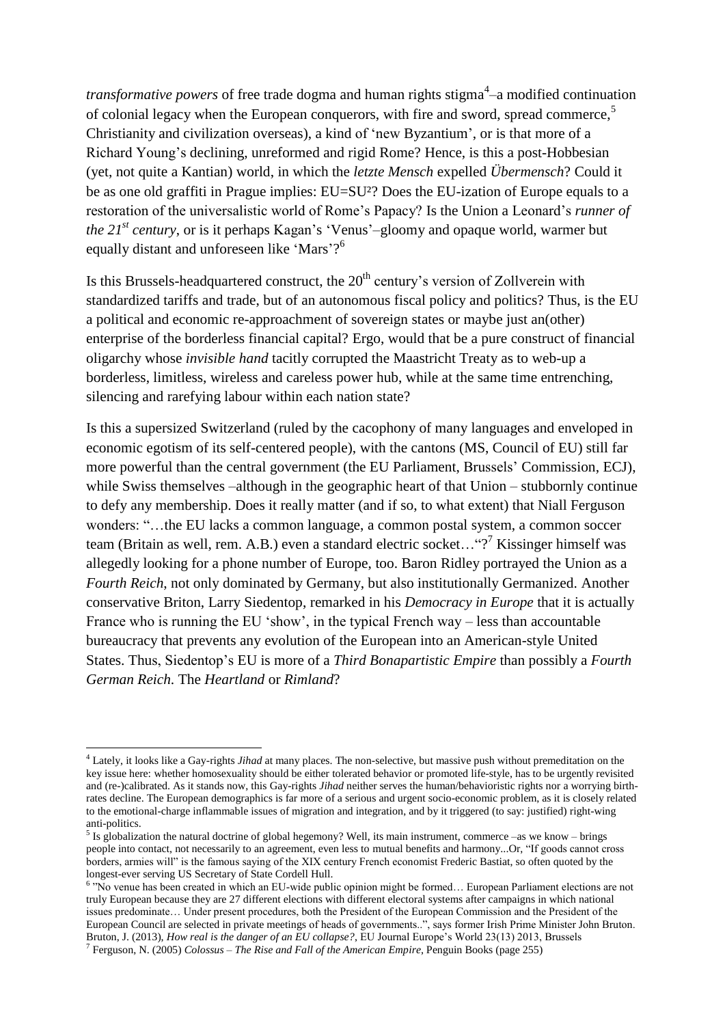*transformative powers* of free trade dogma and human rights stigma<sup>4</sup>-a modified continuation of colonial legacy when the European conquerors, with fire and sword, spread commerce,<sup>5</sup> Christianity and civilization overseas), a kind of "new Byzantium", or is that more of a Richard Young"s declining, unreformed and rigid Rome? Hence, is this a post-Hobbesian (yet, not quite a Kantian) world, in which the *letzte Mensch* expelled *Übermensch*? Could it be as one old graffiti in Prague implies: EU=SU²? Does the EU-ization of Europe equals to a restoration of the universalistic world of Rome"s Papacy? Is the Union a Leonard"s *runner of the 21<sup>st</sup> century*, or is it perhaps Kagan's 'Venus'–gloomy and opaque world, warmer but equally distant and unforeseen like 'Mars'?<sup>6</sup>

Is this Brussels-headquartered construct, the  $20<sup>th</sup>$  century's version of Zollverein with standardized tariffs and trade, but of an autonomous fiscal policy and politics? Thus, is the EU a political and economic re-approachment of sovereign states or maybe just an(other) enterprise of the borderless financial capital? Ergo, would that be a pure construct of financial oligarchy whose *invisible hand* tacitly corrupted the Maastricht Treaty as to web-up a borderless, limitless, wireless and careless power hub, while at the same time entrenching, silencing and rarefying labour within each nation state?

Is this a supersized Switzerland (ruled by the cacophony of many languages and enveloped in economic egotism of its self-centered people), with the cantons (MS, Council of EU) still far more powerful than the central government (the EU Parliament, Brussels' Commission, ECJ), while Swiss themselves –although in the geographic heart of that Union – stubbornly continue to defy any membership. Does it really matter (and if so, to what extent) that Niall Ferguson wonders: "…the EU lacks a common language, a common postal system, a common soccer team (Britain as well, rem. A.B.) even a standard electric socket... " $?$ <sup>7</sup> Kissinger himself was allegedly looking for a phone number of Europe, too. Baron Ridley portrayed the Union as a *Fourth Reich*, not only dominated by Germany, but also institutionally Germanized. Another conservative Briton, Larry Siedentop, remarked in his *Democracy in Europe* that it is actually France who is running the EU 'show', in the typical French way – less than accountable bureaucracy that prevents any evolution of the European into an American-style United States. Thus, Siedentop"s EU is more of a *Third Bonapartistic Empire* than possibly a *Fourth German Reich*. The *Heartland* or *Rimland*?

<sup>4</sup> Lately, it looks like a Gay-rights *Jihad* at many places. The non-selective, but massive push without premeditation on the key issue here: whether homosexuality should be either tolerated behavior or promoted life-style, has to be urgently revisited and (re-)calibrated. As it stands now, this Gay-rights *Jihad* neither serves the human/behavioristic rights nor a worrying birthrates decline. The European demographics is far more of a serious and urgent socio-economic problem, as it is closely related to the emotional-charge inflammable issues of migration and integration, and by it triggered (to say: justified) right-wing anti-politics.

<sup>&</sup>lt;sup>5</sup> Is globalization the natural doctrine of global hegemony? Well, its main instrument, commerce –as we know – brings people into contact, not necessarily to an agreement, even less to mutual benefits and harmony...Or, "If goods cannot cross borders, armies will" is the famous saying of the XIX century French economist Frederic Bastiat, so often quoted by the longest-ever serving US Secretary of State Cordell Hull.

<sup>&</sup>lt;sup>6</sup> "No venue has been created in which an EU-wide public opinion might be formed... European Parliament elections are not truly European because they are 27 different elections with different electoral systems after campaigns in which national issues predominate… Under present procedures, both the President of the European Commission and the President of the European Council are selected in private meetings of heads of governments..", says former Irish Prime Minister John Bruton. Bruton, J. (2013), *How real is the danger of an EU collapse?*, EU Journal Europe"s World 23(13) 2013, Brussels

<sup>7</sup> Ferguson, N. (2005) *Colossus – The Rise and Fall of the American Empire*, Penguin Books (page 255)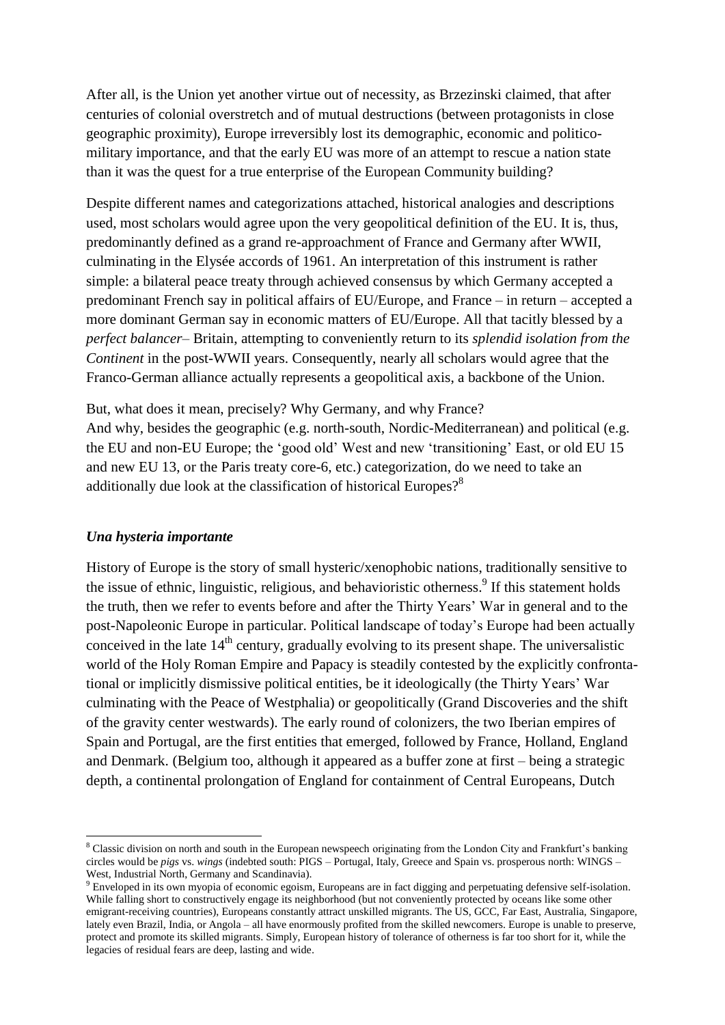After all, is the Union yet another virtue out of necessity, as Brzezinski claimed, that after centuries of colonial overstretch and of mutual destructions (between protagonists in close geographic proximity), Europe irreversibly lost its demographic, economic and politicomilitary importance, and that the early EU was more of an attempt to rescue a nation state than it was the quest for a true enterprise of the European Community building?

Despite different names and categorizations attached, historical analogies and descriptions used, most scholars would agree upon the very geopolitical definition of the EU. It is, thus, predominantly defined as a grand re-approachment of France and Germany after WWII, culminating in the Elysée accords of 1961. An interpretation of this instrument is rather simple: a bilateral peace treaty through achieved consensus by which Germany accepted a predominant French say in political affairs of EU/Europe, and France – in return – accepted a more dominant German say in economic matters of EU/Europe. All that tacitly blessed by a *perfect balancer*– Britain, attempting to conveniently return to its *splendid isolation from the Continent* in the post-WWII years. Consequently, nearly all scholars would agree that the Franco-German alliance actually represents a geopolitical axis, a backbone of the Union.

But, what does it mean, precisely? Why Germany, and why France? And why, besides the geographic (e.g. north-south, Nordic-Mediterranean) and political (e.g. the EU and non-EU Europe; the "good old" West and new "transitioning" East, or old EU 15 and new EU 13, or the Paris treaty core-6, etc.) categorization, do we need to take an additionally due look at the classification of historical Europes?<sup>8</sup>

# *Una hysteria importante*

**.** 

History of Europe is the story of small hysteric/xenophobic nations, traditionally sensitive to the issue of ethnic, linguistic, religious, and behavioristic otherness.<sup>9</sup> If this statement holds the truth, then we refer to events before and after the Thirty Years" War in general and to the post-Napoleonic Europe in particular. Political landscape of today"s Europe had been actually conceived in the late  $14<sup>th</sup>$  century, gradually evolving to its present shape. The universalistic world of the Holy Roman Empire and Papacy is steadily contested by the explicitly confrontational or implicitly dismissive political entities, be it ideologically (the Thirty Years" War culminating with the Peace of Westphalia) or geopolitically (Grand Discoveries and the shift of the gravity center westwards). The early round of colonizers, the two Iberian empires of Spain and Portugal, are the first entities that emerged, followed by France, Holland, England and Denmark. (Belgium too, although it appeared as a buffer zone at first – being a strategic depth, a continental prolongation of England for containment of Central Europeans, Dutch

<sup>&</sup>lt;sup>8</sup> Classic division on north and south in the European newspeech originating from the London City and Frankfurt's banking circles would be *pigs* vs. *wings* (indebted south: PIGS – Portugal, Italy, Greece and Spain vs. prosperous north: WINGS – West, Industrial North, Germany and Scandinavia).

<sup>9</sup> Enveloped in its own myopia of economic egoism, Europeans are in fact digging and perpetuating defensive self-isolation. While falling short to constructively engage its neighborhood (but not conveniently protected by oceans like some other emigrant-receiving countries), Europeans constantly attract unskilled migrants. The US, GCC, Far East, Australia, Singapore, lately even Brazil, India, or Angola – all have enormously profited from the skilled newcomers. Europe is unable to preserve, protect and promote its skilled migrants. Simply, European history of tolerance of otherness is far too short for it, while the legacies of residual fears are deep, lasting and wide.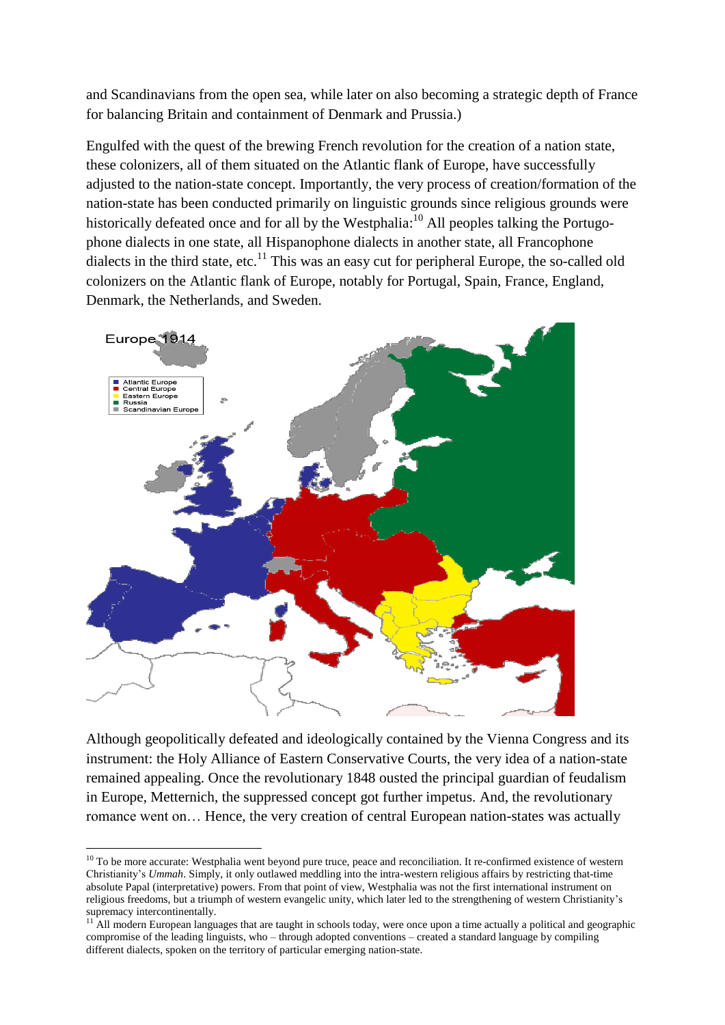and Scandinavians from the open sea, while later on also becoming a strategic depth of France for balancing Britain and containment of Denmark and Prussia.)

Engulfed with the quest of the brewing French revolution for the creation of a nation state, these colonizers, all of them situated on the Atlantic flank of Europe, have successfully adjusted to the nation-state concept. Importantly, the very process of creation/formation of the nation-state has been conducted primarily on linguistic grounds since religious grounds were historically defeated once and for all by the Westphalia:<sup>10</sup> All peoples talking the Portugophone dialects in one state, all Hispanophone dialects in another state, all Francophone dialects in the third state, etc.<sup>11</sup> This was an easy cut for peripheral Europe, the so-called old colonizers on the Atlantic flank of Europe, notably for Portugal, Spain, France, England, Denmark, the Netherlands, and Sweden.



Although geopolitically defeated and ideologically contained by the Vienna Congress and its instrument: the Holy Alliance of Eastern Conservative Courts, the very idea of a nation-state remained appealing. Once the revolutionary 1848 ousted the principal guardian of feudalism in Europe, Metternich, the suppressed concept got further impetus. And, the revolutionary romance went on… Hence, the very creation of central European nation-states was actually

1

 $10$  To be more accurate: Westphalia went beyond pure truce, peace and reconciliation. It re-confirmed existence of western Christianity"s *Ummah*. Simply, it only outlawed meddling into the intra-western religious affairs by restricting that-time absolute Papal (interpretative) powers. From that point of view, Westphalia was not the first international instrument on religious freedoms, but a triumph of western evangelic unity, which later led to the strengthening of western Christianity"s supremacy intercontinentally.

 $11$  All modern European languages that are taught in schools today, were once upon a time actually a political and geographic compromise of the leading linguists, who – through adopted conventions – created a standard language by compiling different dialects, spoken on the territory of particular emerging nation-state.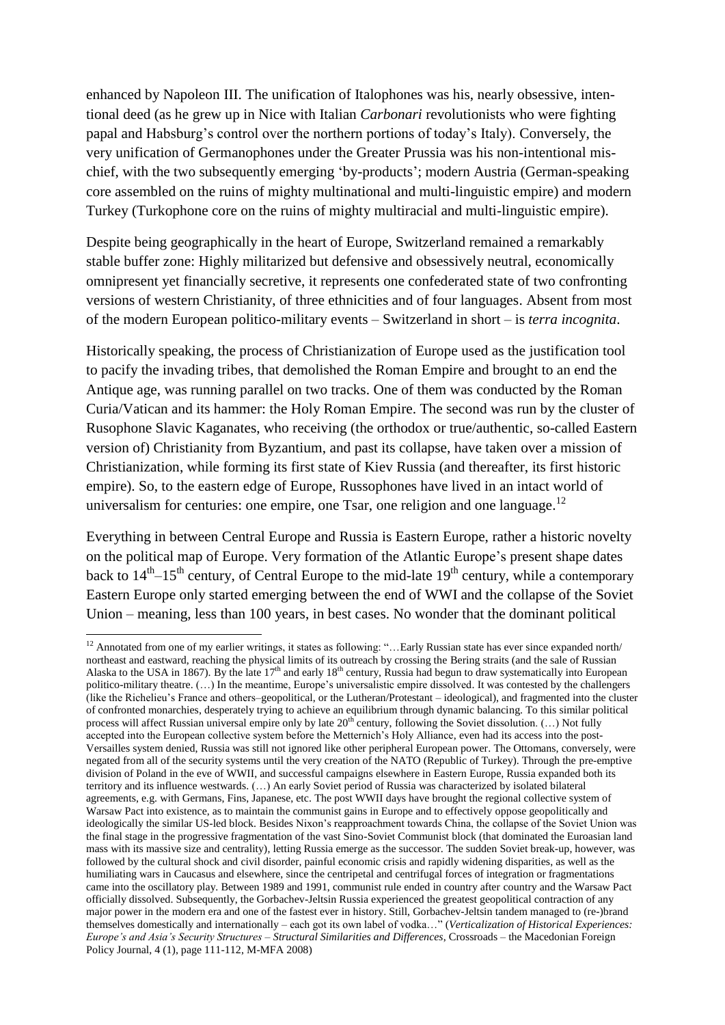enhanced by Napoleon III. The unification of Italophones was his, nearly obsessive, intentional deed (as he grew up in Nice with Italian *Carbonari* revolutionists who were fighting papal and Habsburg"s control over the northern portions of today"s Italy). Conversely, the very unification of Germanophones under the Greater Prussia was his non-intentional mischief, with the two subsequently emerging 'by-products'; modern Austria (German-speaking core assembled on the ruins of mighty multinational and multi-linguistic empire) and modern Turkey (Turkophone core on the ruins of mighty multiracial and multi-linguistic empire).

Despite being geographically in the heart of Europe, Switzerland remained a remarkably stable buffer zone: Highly militarized but defensive and obsessively neutral, economically omnipresent yet financially secretive, it represents one confederated state of two confronting versions of western Christianity, of three ethnicities and of four languages. Absent from most of the modern European politico-military events – Switzerland in short – is *terra incognita*.

Historically speaking, the process of Christianization of Europe used as the justification tool to pacify the invading tribes, that demolished the Roman Empire and brought to an end the Antique age, was running parallel on two tracks. One of them was conducted by the Roman Curia/Vatican and its hammer: the Holy Roman Empire. The second was run by the cluster of Rusophone Slavic Kaganates, who receiving (the orthodox or true/authentic, so-called Eastern version of) Christianity from Byzantium, and past its collapse, have taken over a mission of Christianization, while forming its first state of Kiev Russia (and thereafter, its first historic empire). So, to the eastern edge of Europe, Russophones have lived in an intact world of universalism for centuries: one empire, one Tsar, one religion and one language.<sup>12</sup>

Everything in between Central Europe and Russia is Eastern Europe, rather a historic novelty on the political map of Europe. Very formation of the Atlantic Europe"s present shape dates back to  $14<sup>th</sup>-15<sup>th</sup>$  century, of Central Europe to the mid-late  $19<sup>th</sup>$  century, while a contemporary Eastern Europe only started emerging between the end of WWI and the collapse of the Soviet Union – meaning, less than 100 years, in best cases. No wonder that the dominant political

**.** 

<sup>&</sup>lt;sup>12</sup> Annotated from one of my earlier writings, it states as following: "...Early Russian state has ever since expanded north/ northeast and eastward, reaching the physical limits of its outreach by crossing the Bering straits (and the sale of Russian Alaska to the USA in 1867). By the late  $17<sup>th</sup>$  and early  $18<sup>th</sup>$  century, Russia had begun to draw systematically into European politico-military theatre. (...) In the meantime, Europe's universalistic empire dissolved. It was contested by the challengers (like the Richelieu"s France and others–geopolitical, or the Lutheran/Protestant – ideological), and fragmented into the cluster of confronted monarchies, desperately trying to achieve an equilibrium through dynamic balancing. To this similar political process will affect Russian universal empire only by late  $20<sup>th</sup>$  century, following the Soviet dissolution. (...) Not fully accepted into the European collective system before the Metternich"s Holy Alliance, even had its access into the post-Versailles system denied, Russia was still not ignored like other peripheral European power. The Ottomans, conversely, were negated from all of the security systems until the very creation of the NATO (Republic of Turkey). Through the pre-emptive division of Poland in the eve of WWII, and successful campaigns elsewhere in Eastern Europe, Russia expanded both its territory and its influence westwards. (…) An early Soviet period of Russia was characterized by isolated bilateral agreements, e.g. with Germans, Fins, Japanese, etc. The post WWII days have brought the regional collective system of Warsaw Pact into existence, as to maintain the communist gains in Europe and to effectively oppose geopolitically and ideologically the similar US-led block. Besides Nixon"s reapproachment towards China, the collapse of the Soviet Union was the final stage in the progressive fragmentation of the vast Sino-Soviet Communist block (that dominated the Euroasian land mass with its massive size and centrality), letting Russia emerge as the successor. The sudden Soviet break-up, however, was followed by the cultural shock and civil disorder, painful economic crisis and rapidly widening disparities, as well as the humiliating wars in Caucasus and elsewhere, since the centripetal and centrifugal forces of integration or fragmentations came into the oscillatory play. Between 1989 and 1991, communist rule ended in country after country and the Warsaw Pact officially dissolved. Subsequently, the Gorbachev-Jeltsin Russia experienced the greatest geopolitical contraction of any major power in the modern era and one of the fastest ever in history. Still, Gorbachev-Jeltsin tandem managed to (re-)brand themselves domestically and internationally – each got its own label of vodka…" (*Verticalization of Historical Experiences: Europe's and Asia's Security Structures – Structural Similarities and Differences*, Crossroads – the Macedonian Foreign Policy Journal, 4 (1), page 111-112, M-MFA 2008)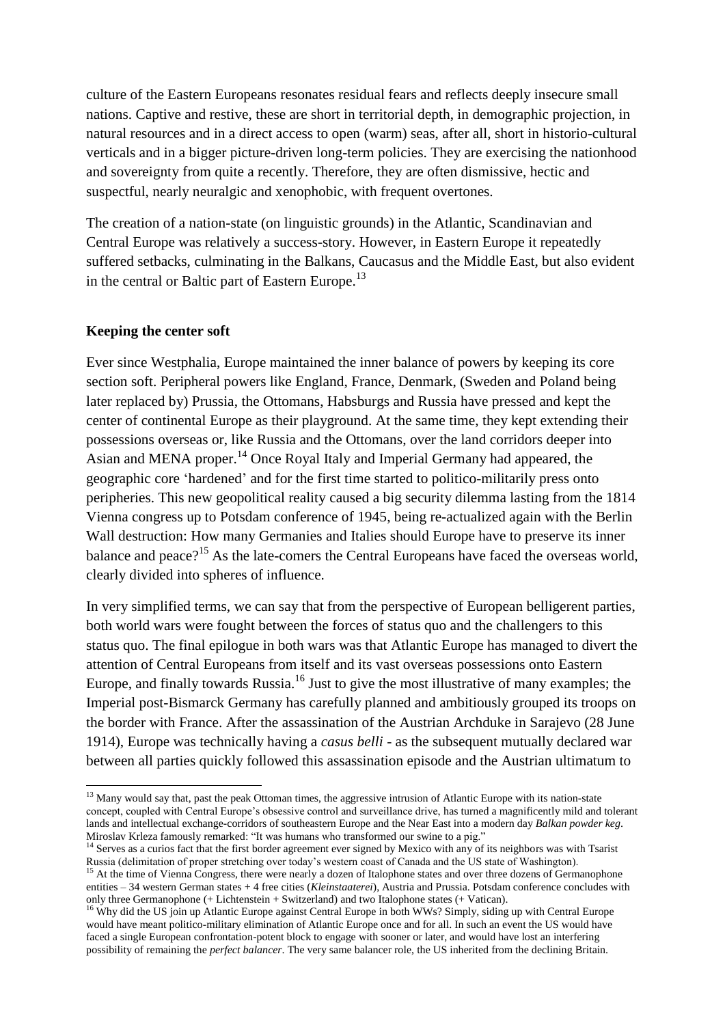culture of the Eastern Europeans resonates residual fears and reflects deeply insecure small nations. Captive and restive, these are short in territorial depth, in demographic projection, in natural resources and in a direct access to open (warm) seas, after all, short in historio-cultural verticals and in a bigger picture-driven long-term policies. They are exercising the nationhood and sovereignty from quite a recently. Therefore, they are often dismissive, hectic and suspectful, nearly neuralgic and xenophobic, with frequent overtones.

The creation of a nation-state (on linguistic grounds) in the Atlantic, Scandinavian and Central Europe was relatively a success-story. However, in Eastern Europe it repeatedly suffered setbacks, culminating in the Balkans, Caucasus and the Middle East, but also evident in the central or Baltic part of Eastern Europe.<sup>13</sup>

## **Keeping the center soft**

**.** 

Ever since Westphalia, Europe maintained the inner balance of powers by keeping its core section soft. Peripheral powers like England, France, Denmark, (Sweden and Poland being later replaced by) Prussia, the Ottomans, Habsburgs and Russia have pressed and kept the center of continental Europe as their playground. At the same time, they kept extending their possessions overseas or, like Russia and the Ottomans, over the land corridors deeper into Asian and MENA proper.<sup>14</sup> Once Royal Italy and Imperial Germany had appeared, the geographic core "hardened" and for the first time started to politico-militarily press onto peripheries. This new geopolitical reality caused a big security dilemma lasting from the 1814 Vienna congress up to Potsdam conference of 1945, being re-actualized again with the Berlin Wall destruction: How many Germanies and Italies should Europe have to preserve its inner balance and peace?<sup>15</sup> As the late-comers the Central Europeans have faced the overseas world, clearly divided into spheres of influence.

In very simplified terms, we can say that from the perspective of European belligerent parties, both world wars were fought between the forces of status quo and the challengers to this status quo. The final epilogue in both wars was that Atlantic Europe has managed to divert the attention of Central Europeans from itself and its vast overseas possessions onto Eastern Europe, and finally towards Russia.<sup>16</sup> Just to give the most illustrative of many examples; the Imperial post-Bismarck Germany has carefully planned and ambitiously grouped its troops on the border with France. After the assassination of the Austrian Archduke in Sarajevo (28 June 1914), Europe was technically having a *casus belli -* as the subsequent mutually declared war between all parties quickly followed this assassination episode and the Austrian ultimatum to

 $13$  Many would say that, past the peak Ottoman times, the aggressive intrusion of Atlantic Europe with its nation-state concept, coupled with Central Europe"s obsessive control and surveillance drive, has turned a magnificently mild and tolerant lands and intellectual exchange-corridors of southeastern Europe and the Near East into a modern day *Balkan powder keg*. Miroslav Krleza famously remarked: "It was humans who transformed our swine to a pig."

<sup>&</sup>lt;sup>14</sup> Serves as a curios fact that the first border agreement ever signed by Mexico with any of its neighbors was with Tsarist Russia (delimitation of proper stretching over today"s western coast of Canada and the US state of Washington).

<sup>&</sup>lt;sup>15</sup> At the time of Vienna Congress, there were nearly a dozen of Italophone states and over three dozens of Germanophone entities – 34 western German states + 4 free cities (*Kleinstaaterei*), Austria and Prussia. Potsdam conference concludes with only three Germanophone (+ Lichtenstein + Switzerland) and two Italophone states (+ Vatican).

<sup>&</sup>lt;sup>16</sup> Why did the US join up Atlantic Europe against Central Europe in both WWs? Simply, siding up with Central Europe would have meant politico-military elimination of Atlantic Europe once and for all. In such an event the US would have faced a single European confrontation-potent block to engage with sooner or later, and would have lost an interfering possibility of remaining the *perfect balancer*. The very same balancer role, the US inherited from the declining Britain.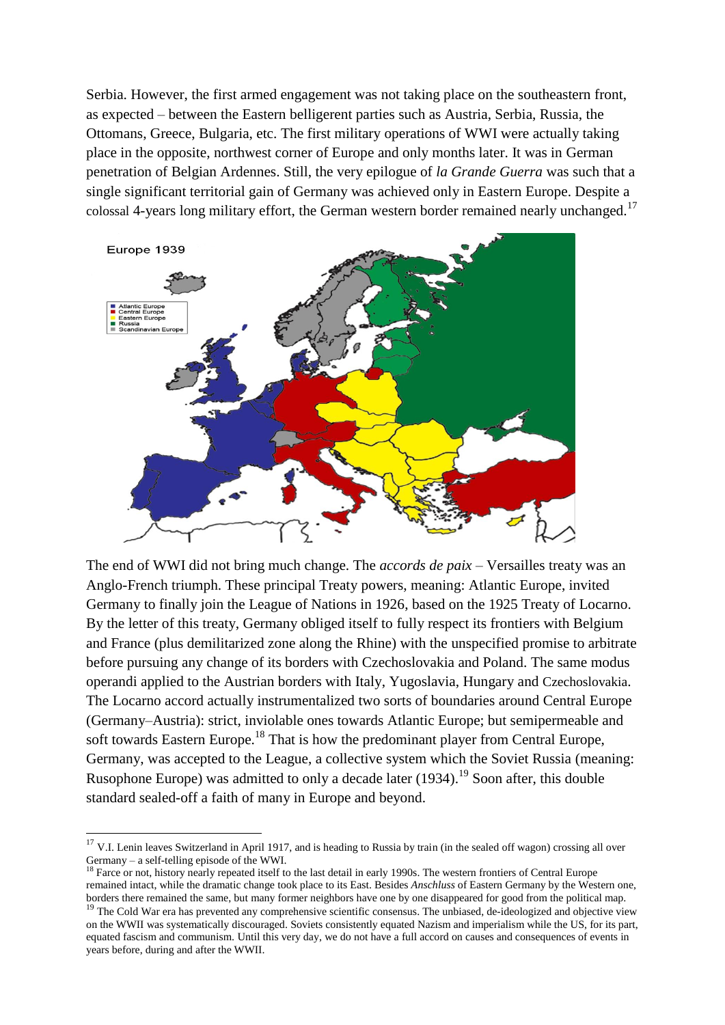Serbia. However, the first armed engagement was not taking place on the southeastern front, as expected – between the Eastern belligerent parties such as Austria, Serbia, Russia, the Ottomans, Greece, Bulgaria, etc. The first military operations of WWI were actually taking place in the opposite, northwest corner of Europe and only months later. It was in German penetration of Belgian Ardennes. Still, the very epilogue of *la Grande Guerra* was such that a single significant territorial gain of Germany was achieved only in Eastern Europe. Despite a colossal 4-years long military effort, the German western border remained nearly unchanged.<sup>17</sup>



The end of WWI did not bring much change. The *accords de paix* – Versailles treaty was an Anglo-French triumph. These principal Treaty powers, meaning: Atlantic Europe, invited Germany to finally join the League of Nations in 1926, based on the 1925 Treaty of Locarno. By the letter of this treaty, Germany obliged itself to fully respect its frontiers with Belgium and France (plus demilitarized zone along the Rhine) with the unspecified promise to arbitrate before pursuing any change of its borders with Czechoslovakia and Poland. The same modus operandi applied to the Austrian borders with Italy, Yugoslavia, Hungary and Czechoslovakia. The Locarno accord actually instrumentalized two sorts of boundaries around Central Europe (Germany–Austria): strict, inviolable ones towards Atlantic Europe; but semipermeable and soft towards Eastern Europe.<sup>18</sup> That is how the predominant player from Central Europe, Germany, was accepted to the League, a collective system which the Soviet Russia (meaning: Rusophone Europe) was admitted to only a decade later (1934).<sup>19</sup> Soon after, this double standard sealed-off a faith of many in Europe and beyond.

 $17$  V.I. Lenin leaves Switzerland in April 1917, and is heading to Russia by train (in the sealed off wagon) crossing all over Germany – a self-telling episode of the WWI.

<sup>&</sup>lt;sup>18</sup> Farce or not, history nearly repeated itself to the last detail in early 1990s. The western frontiers of Central Europe remained intact, while the dramatic change took place to its East. Besides *Anschluss* of Eastern Germany by the Western one, borders there remained the same, but many former neighbors have one by one disappeared for good from the political map. <sup>19</sup> The Cold War era has prevented any comprehensive scientific consensus. The unbiased, de-ideologized and objective view

on the WWII was systematically discouraged. Soviets consistently equated Nazism and imperialism while the US, for its part, equated fascism and communism. Until this very day, we do not have a full accord on causes and consequences of events in years before, during and after the WWII.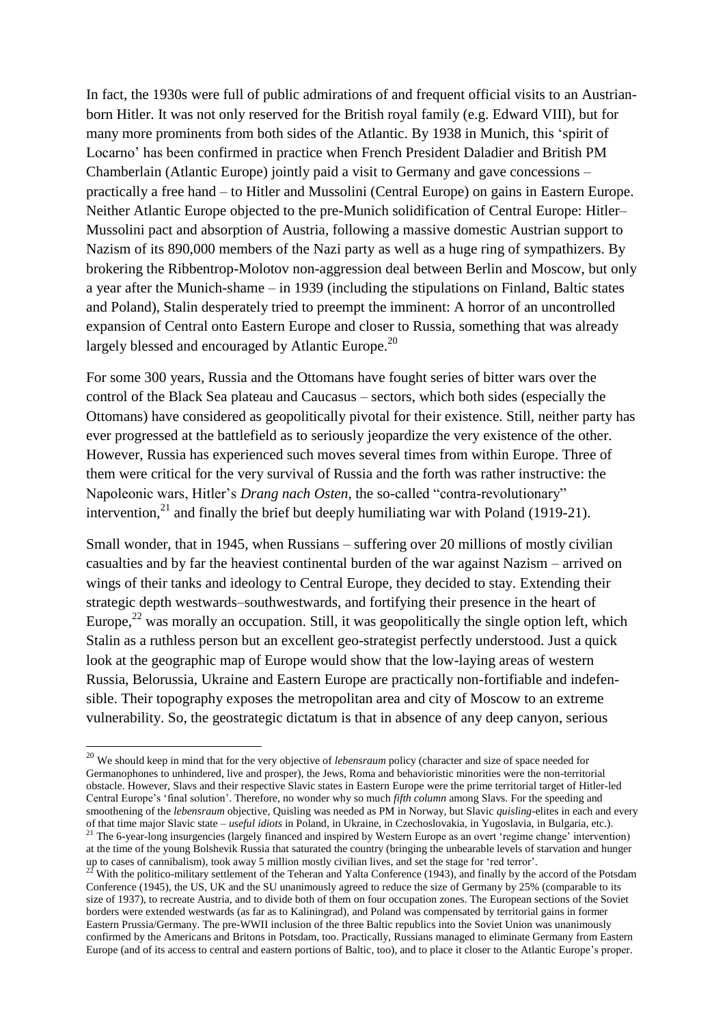In fact, the 1930s were full of public admirations of and frequent official visits to an Austrianborn Hitler. It was not only reserved for the British royal family (e.g. Edward VIII), but for many more prominents from both sides of the Atlantic. By 1938 in Munich, this "spirit of Locarno" has been confirmed in practice when French President Daladier and British PM Chamberlain (Atlantic Europe) jointly paid a visit to Germany and gave concessions – practically a free hand – to Hitler and Mussolini (Central Europe) on gains in Eastern Europe. Neither Atlantic Europe objected to the pre-Munich solidification of Central Europe: Hitler– Mussolini pact and absorption of Austria, following a massive domestic Austrian support to Nazism of its 890,000 members of the Nazi party as well as a huge ring of sympathizers. By brokering the Ribbentrop-Molotov non-aggression deal between Berlin and Moscow, but only a year after the Munich-shame – in 1939 (including the stipulations on Finland, Baltic states and Poland), Stalin desperately tried to preempt the imminent: A horror of an uncontrolled expansion of Central onto Eastern Europe and closer to Russia, something that was already largely blessed and encouraged by Atlantic Europe.<sup>20</sup>

For some 300 years, Russia and the Ottomans have fought series of bitter wars over the control of the Black Sea plateau and Caucasus – sectors, which both sides (especially the Ottomans) have considered as geopolitically pivotal for their existence. Still, neither party has ever progressed at the battlefield as to seriously jeopardize the very existence of the other. However, Russia has experienced such moves several times from within Europe. Three of them were critical for the very survival of Russia and the forth was rather instructive: the Napoleonic wars, Hitler"s *Drang nach Osten*, the so-called "contra-revolutionary" intervention,<sup>21</sup> and finally the brief but deeply humiliating war with Poland (1919-21).

Small wonder, that in 1945, when Russians – suffering over 20 millions of mostly civilian casualties and by far the heaviest continental burden of the war against Nazism – arrived on wings of their tanks and ideology to Central Europe, they decided to stay. Extending their strategic depth westwards–southwestwards, and fortifying their presence in the heart of Europe,<sup>22</sup> was morally an occupation. Still, it was geopolitically the single option left, which Stalin as a ruthless person but an excellent geo-strategist perfectly understood. Just a quick look at the geographic map of Europe would show that the low-laying areas of western Russia, Belorussia, Ukraine and Eastern Europe are practically non-fortifiable and indefensible. Their topography exposes the metropolitan area and city of Moscow to an extreme vulnerability. So, the geostrategic dictatum is that in absence of any deep canyon, serious

1

<sup>20</sup> We should keep in mind that for the very objective of *lebensraum* policy (character and size of space needed for Germanophones to unhindered, live and prosper), the Jews, Roma and behavioristic minorities were the non-territorial obstacle. However, Slavs and their respective Slavic states in Eastern Europe were the prime territorial target of Hitler-led Central Europe's 'final solution'. Therefore, no wonder why so much *fifth column* among Slavs. For the speeding and smoothening of the *lebensraum* objective, Quisling was needed as PM in Norway, but Slavic *quisling*-elites in each and every of that time major Slavic state – *useful idiots* in Poland, in Ukraine, in Czechoslovakia, in Yugoslavia, in Bulgaria, etc.). <sup>21</sup> The 6-year-long insurgencies (largely financed and inspired by Western Europe as an overt 'regime change' intervention) at the time of the young Bolshevik Russia that saturated the country (bringing the unbearable levels of starvation and hunger

up to cases of cannibalism), took away 5 million mostly civilian lives, and set the stage for "red terror". <sup>22</sup> With the politico-military settlement of the Teheran and Yalta Conference (1943), and finally by the accord of the Potsdam

Conference (1945), the US, UK and the SU unanimously agreed to reduce the size of Germany by 25% (comparable to its size of 1937), to recreate Austria, and to divide both of them on four occupation zones. The European sections of the Soviet borders were extended westwards (as far as to Kaliningrad), and Poland was compensated by territorial gains in former Eastern Prussia/Germany. The pre-WWII inclusion of the three Baltic republics into the Soviet Union was unanimously confirmed by the Americans and Britons in Potsdam, too. Practically, Russians managed to eliminate Germany from Eastern Europe (and of its access to central and eastern portions of Baltic, too), and to place it closer to the Atlantic Europe"s proper.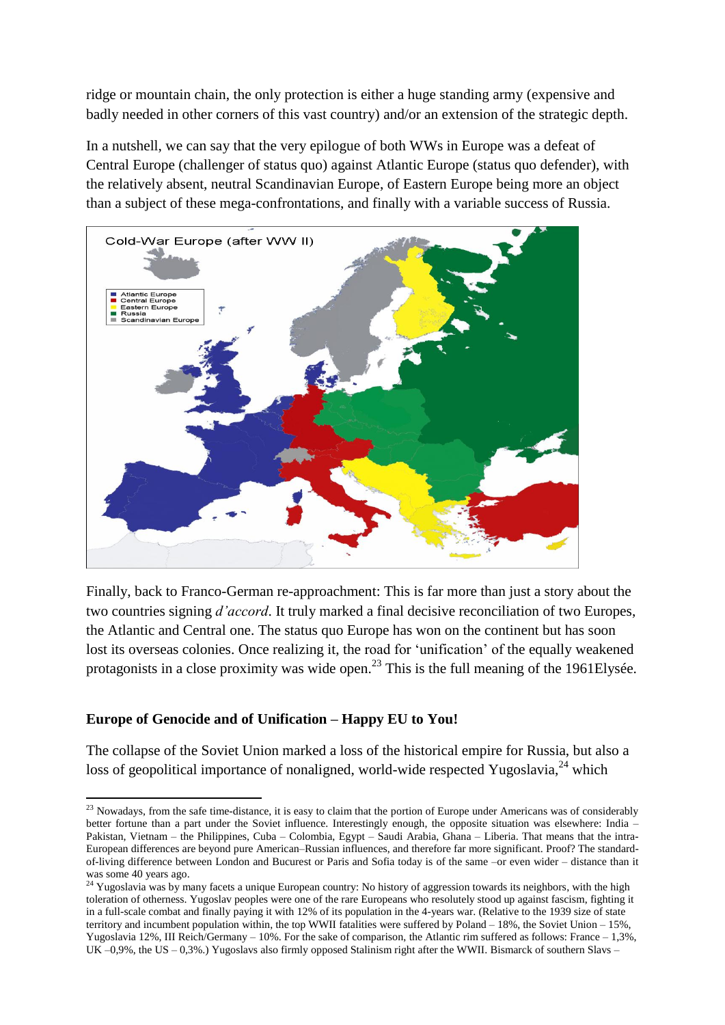ridge or mountain chain, the only protection is either a huge standing army (expensive and badly needed in other corners of this vast country) and/or an extension of the strategic depth.

In a nutshell, we can say that the very epilogue of both WWs in Europe was a defeat of Central Europe (challenger of status quo) against Atlantic Europe (status quo defender), with the relatively absent, neutral Scandinavian Europe, of Eastern Europe being more an object than a subject of these mega-confrontations, and finally with a variable success of Russia.



Finally, back to Franco-German re-approachment: This is far more than just a story about the two countries signing *d'accord*. It truly marked a final decisive reconciliation of two Europes, the Atlantic and Central one. The status quo Europe has won on the continent but has soon lost its overseas colonies. Once realizing it, the road for 'unification' of the equally weakened protagonists in a close proximity was wide open.<sup>23</sup> This is the full meaning of the 1961Elysée.

# **Europe of Genocide and of Unification – Happy EU to You!**

**.** 

The collapse of the Soviet Union marked a loss of the historical empire for Russia, but also a loss of geopolitical importance of nonaligned, world-wide respected Yugoslavia,<sup>24</sup> which

 $23$  Nowadays, from the safe time-distance, it is easy to claim that the portion of Europe under Americans was of considerably better fortune than a part under the Soviet influence. Interestingly enough, the opposite situation was elsewhere: India – Pakistan, Vietnam – the Philippines, Cuba – Colombia, Egypt – Saudi Arabia, Ghana – Liberia. That means that the intra-European differences are beyond pure American–Russian influences, and therefore far more significant. Proof? The standardof-living difference between London and Bucurest or Paris and Sofia today is of the same –or even wider – distance than it was some 40 years ago.

 $24$  Yugoslavia was by many facets a unique European country: No history of aggression towards its neighbors, with the high toleration of otherness. Yugoslav peoples were one of the rare Europeans who resolutely stood up against fascism, fighting it in a full-scale combat and finally paying it with 12% of its population in the 4-years war. (Relative to the 1939 size of state territory and incumbent population within, the top WWII fatalities were suffered by Poland – 18%, the Soviet Union – 15%, Yugoslavia 12%, III Reich/Germany – 10%. For the sake of comparison, the Atlantic rim suffered as follows: France – 1,3%, UK –0,9%, the US – 0,3%.) Yugoslavs also firmly opposed Stalinism right after the WWII. Bismarck of southern Slavs –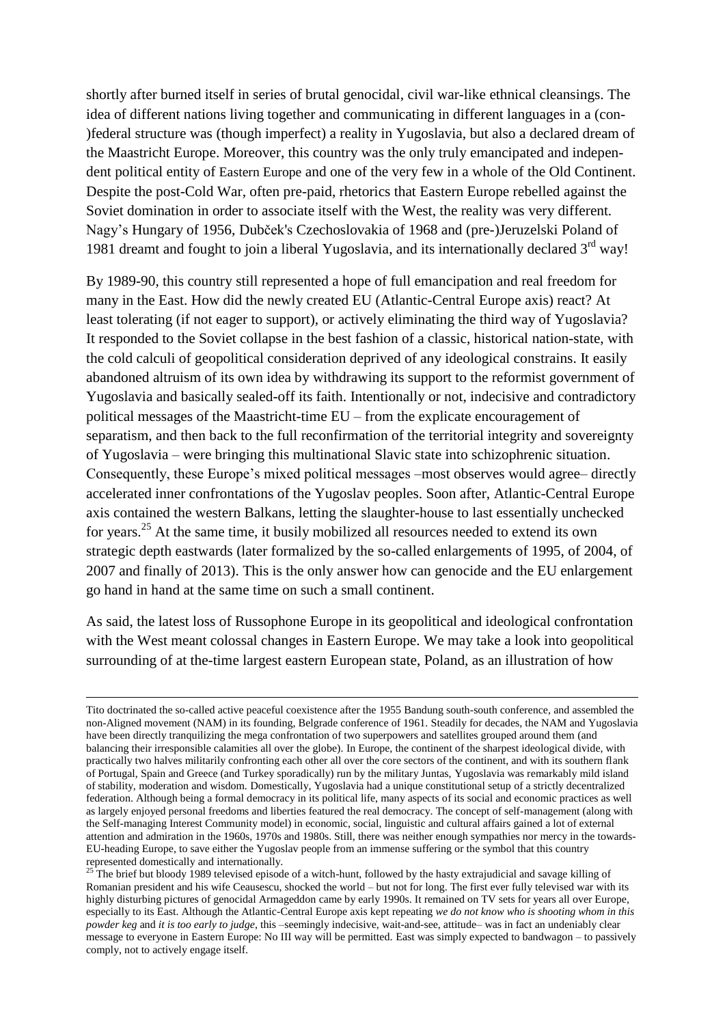shortly after burned itself in series of brutal genocidal, civil war-like ethnical cleansings. The idea of different nations living together and communicating in different languages in a (con- )federal structure was (though imperfect) a reality in Yugoslavia, but also a declared dream of the Maastricht Europe. Moreover, this country was the only truly emancipated and independent political entity of Eastern Europe and one of the very few in a whole of the Old Continent. Despite the post-Cold War, often pre-paid, rhetorics that Eastern Europe rebelled against the Soviet domination in order to associate itself with the West, the reality was very different. Nagy"s Hungary of 1956, Dubček's Czechoslovakia of 1968 and (pre-)Jeruzelski Poland of 1981 dreamt and fought to join a liberal Yugoslavia, and its internationally declared  $3<sup>rd</sup>$  way!

By 1989-90, this country still represented a hope of full emancipation and real freedom for many in the East. How did the newly created EU (Atlantic-Central Europe axis) react? At least tolerating (if not eager to support), or actively eliminating the third way of Yugoslavia? It responded to the Soviet collapse in the best fashion of a classic, historical nation-state, with the cold calculi of geopolitical consideration deprived of any ideological constrains. It easily abandoned altruism of its own idea by withdrawing its support to the reformist government of Yugoslavia and basically sealed-off its faith. Intentionally or not, indecisive and contradictory political messages of the Maastricht-time EU – from the explicate encouragement of separatism, and then back to the full reconfirmation of the territorial integrity and sovereignty of Yugoslavia – were bringing this multinational Slavic state into schizophrenic situation. Consequently, these Europe"s mixed political messages –most observes would agree– directly accelerated inner confrontations of the Yugoslav peoples. Soon after, Atlantic-Central Europe axis contained the western Balkans, letting the slaughter-house to last essentially unchecked for years.<sup>25</sup> At the same time, it busily mobilized all resources needed to extend its own strategic depth eastwards (later formalized by the so-called enlargements of 1995, of 2004, of 2007 and finally of 2013). This is the only answer how can genocide and the EU enlargement go hand in hand at the same time on such a small continent.

As said, the latest loss of Russophone Europe in its geopolitical and ideological confrontation with the West meant colossal changes in Eastern Europe. We may take a look into geopolitical surrounding of at the-time largest eastern European state, Poland, as an illustration of how

Tito doctrinated the so-called active peaceful coexistence after the 1955 Bandung south-south conference, and assembled the non-Aligned movement (NAM) in its founding, Belgrade conference of 1961. Steadily for decades, the NAM and Yugoslavia have been directly tranquilizing the mega confrontation of two superpowers and satellites grouped around them (and balancing their irresponsible calamities all over the globe). In Europe, the continent of the sharpest ideological divide, with practically two halves militarily confronting each other all over the core sectors of the continent, and with its southern flank of Portugal, Spain and Greece (and Turkey sporadically) run by the military Juntas, Yugoslavia was remarkably mild island of stability, moderation and wisdom. Domestically, Yugoslavia had a unique constitutional setup of a strictly decentralized federation. Although being a formal democracy in its political life, many aspects of its social and economic practices as well as largely enjoyed personal freedoms and liberties featured the real democracy. The concept of self-management (along with the Self-managing Interest Community model) in economic, social, linguistic and cultural affairs gained a lot of external attention and admiration in the 1960s, 1970s and 1980s. Still, there was neither enough sympathies nor mercy in the towards-EU-heading Europe, to save either the Yugoslav people from an immense suffering or the symbol that this country represented domestically and internationally.

<sup>&</sup>lt;sup>25</sup> The brief but bloody 1989 televised episode of a witch-hunt, followed by the hasty extrajudicial and savage killing of Romanian president and his wife Ceausescu, shocked the world – but not for long. The first ever fully televised war with its highly disturbing pictures of genocidal Armageddon came by early 1990s. It remained on TV sets for years all over Europe, especially to its East. Although the Atlantic-Central Europe axis kept repeating *we do not know who is shooting whom in this powder keg* and *it is too early to judge*, this –seemingly indecisive, wait-and-see, attitude– was in fact an undeniably clear message to everyone in Eastern Europe: No III way will be permitted. East was simply expected to bandwagon – to passively comply, not to actively engage itself.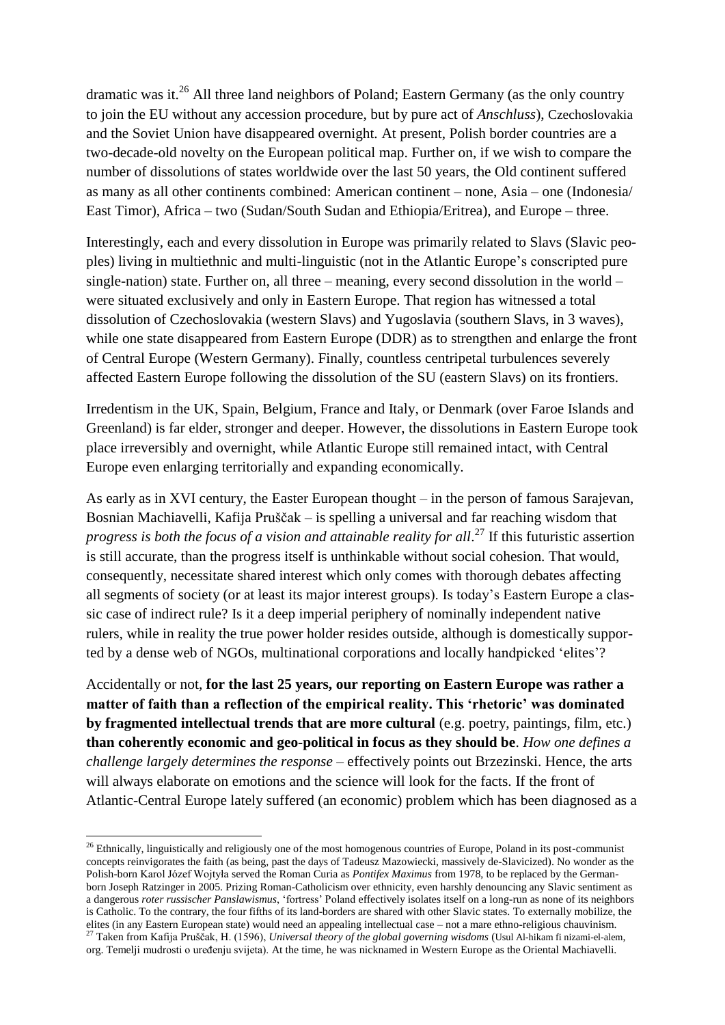dramatic was it.<sup>26</sup> All three land neighbors of Poland; Eastern Germany (as the only country to join the EU without any accession procedure, but by pure act of *Anschluss*), Czechoslovakia and the Soviet Union have disappeared overnight. At present, Polish border countries are a two-decade-old novelty on the European political map. Further on, if we wish to compare the number of dissolutions of states worldwide over the last 50 years, the Old continent suffered as many as all other continents combined: American continent – none, Asia – one (Indonesia/ East Timor), Africa – two (Sudan/South Sudan and Ethiopia/Eritrea), and Europe – three.

Interestingly, each and every dissolution in Europe was primarily related to Slavs (Slavic peoples) living in multiethnic and multi-linguistic (not in the Atlantic Europe"s conscripted pure single-nation) state. Further on, all three – meaning, every second dissolution in the world – were situated exclusively and only in Eastern Europe. That region has witnessed a total dissolution of Czechoslovakia (western Slavs) and Yugoslavia (southern Slavs, in 3 waves), while one state disappeared from Eastern Europe (DDR) as to strengthen and enlarge the front of Central Europe (Western Germany). Finally, countless centripetal turbulences severely affected Eastern Europe following the dissolution of the SU (eastern Slavs) on its frontiers.

Irredentism in the UK, Spain, Belgium, France and Italy, or Denmark (over Faroe Islands and Greenland) is far elder, stronger and deeper. However, the dissolutions in Eastern Europe took place irreversibly and overnight, while Atlantic Europe still remained intact, with Central Europe even enlarging territorially and expanding economically.

As early as in XVI century, the Easter European thought – in the person of famous Sarajevan, Bosnian Machiavelli, Kafija Pruščak – is spelling a universal and far reaching wisdom that progress is both the focus of a vision and attainable reality for all.<sup>27</sup> If this futuristic assertion is still accurate, than the progress itself is unthinkable without social cohesion. That would, consequently, necessitate shared interest which only comes with thorough debates affecting all segments of society (or at least its major interest groups). Is today"s Eastern Europe a classic case of indirect rule? Is it a deep imperial periphery of nominally independent native rulers, while in reality the true power holder resides outside, although is domestically supported by a dense web of NGOs, multinational corporations and locally handpicked "elites"?

Accidentally or not, **for the last 25 years, our reporting on Eastern Europe was rather a matter of faith than a reflection of the empirical reality. This 'rhetoric' was dominated by fragmented intellectual trends that are more cultural** (e.g. poetry, paintings, film, etc.) **than coherently economic and geo-political in focus as they should be**. *How one defines a challenge largely determines the response* – effectively points out Brzezinski. Hence, the arts will always elaborate on emotions and the science will look for the facts. If the front of Atlantic-Central Europe lately suffered (an economic) problem which has been diagnosed as a

**.** 

 $26$  Ethnically, linguistically and religiously one of the most homogenous countries of Europe, Poland in its post-communist concepts reinvigorates the faith (as being, past the days of Tadeusz Mazowiecki, massively de-Slavicized). No wonder as the Polish-born Karol Józef Wojtyła served the Roman Curia as *Pontifex Maximus* from 1978, to be replaced by the Germanborn Joseph Ratzinger in 2005. Prizing Roman-Catholicism over ethnicity, even harshly denouncing any Slavic sentiment as a dangerous *roter russischer Panslawismus*, "fortress" Poland effectively isolates itself on a long-run as none of its neighbors is Catholic. To the contrary, the four fifths of its land-borders are shared with other Slavic states. To externally mobilize, the elites (in any Eastern European state) would need an appealing intellectual case – not a mare ethno-religious chauvinism. <sup>27</sup> Taken from Kafija Pruščak, H. (1596), *Universal theory of the global governing wisdoms* (Usul Al-hikam fi nizami-el-alem, org. Temelji mudrosti o uređenju svijeta). At the time, he was nicknamed in Western Europe as the Oriental Machiavelli.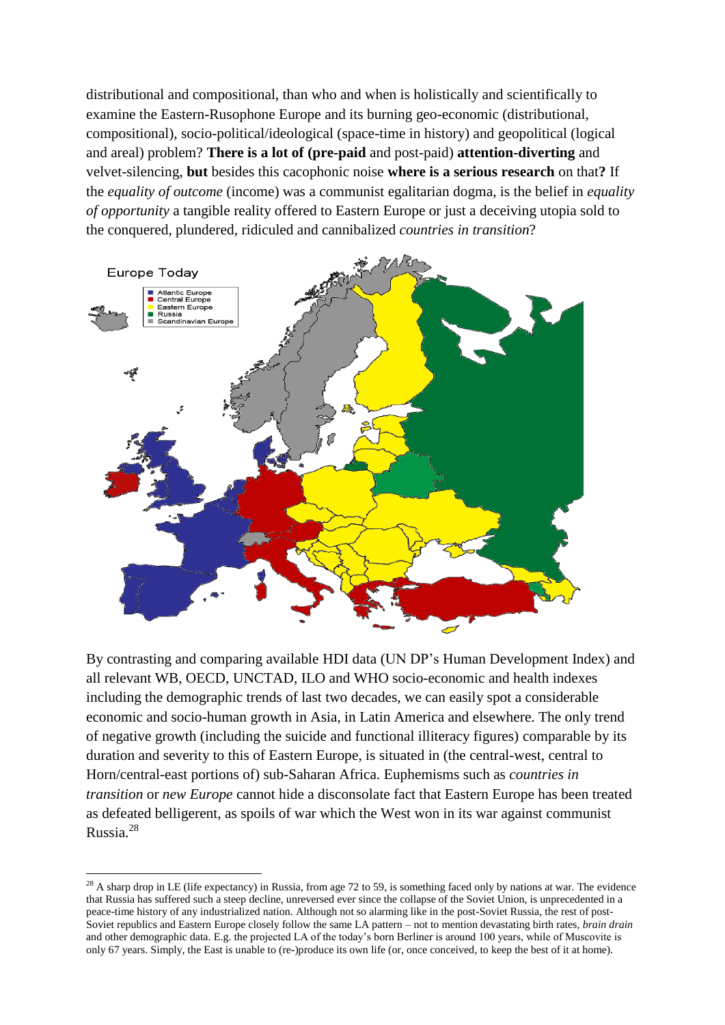distributional and compositional, than who and when is holistically and scientifically to examine the Eastern-Rusophone Europe and its burning geo-economic (distributional, compositional), socio-political/ideological (space-time in history) and geopolitical (logical and areal) problem? **There is a lot of (pre-paid** and post-paid) **attention-diverting** and velvet-silencing, **but** besides this cacophonic noise **where is a serious research** on that**?** If the *equality of outcome* (income) was a communist egalitarian dogma, is the belief in *equality of opportunity* a tangible reality offered to Eastern Europe or just a deceiving utopia sold to the conquered, plundered, ridiculed and cannibalized *countries in transition*?



By contrasting and comparing available HDI data (UN DP"s Human Development Index) and all relevant WB, OECD, UNCTAD, ILO and WHO socio-economic and health indexes including the demographic trends of last two decades, we can easily spot a considerable economic and socio-human growth in Asia, in Latin America and elsewhere. The only trend of negative growth (including the suicide and functional illiteracy figures) comparable by its duration and severity to this of Eastern Europe, is situated in (the central-west, central to Horn/central-east portions of) sub-Saharan Africa. Euphemisms such as *countries in transition* or *new Europe* cannot hide a disconsolate fact that Eastern Europe has been treated as defeated belligerent, as spoils of war which the West won in its war against communist Russia.<sup>28</sup>

 $^{28}$  A sharp drop in LE (life expectancy) in Russia, from age 72 to 59, is something faced only by nations at war. The evidence that Russia has suffered such a steep decline, unreversed ever since the collapse of the Soviet Union, is unprecedented in a peace-time history of any industrialized nation. Although not so alarming like in the post-Soviet Russia, the rest of post-Soviet republics and Eastern Europe closely follow the same LA pattern – not to mention devastating birth rates, *brain drain* and other demographic data. E.g. the projected LA of the today"s born Berliner is around 100 years, while of Muscovite is only 67 years. Simply, the East is unable to (re-)produce its own life (or, once conceived, to keep the best of it at home).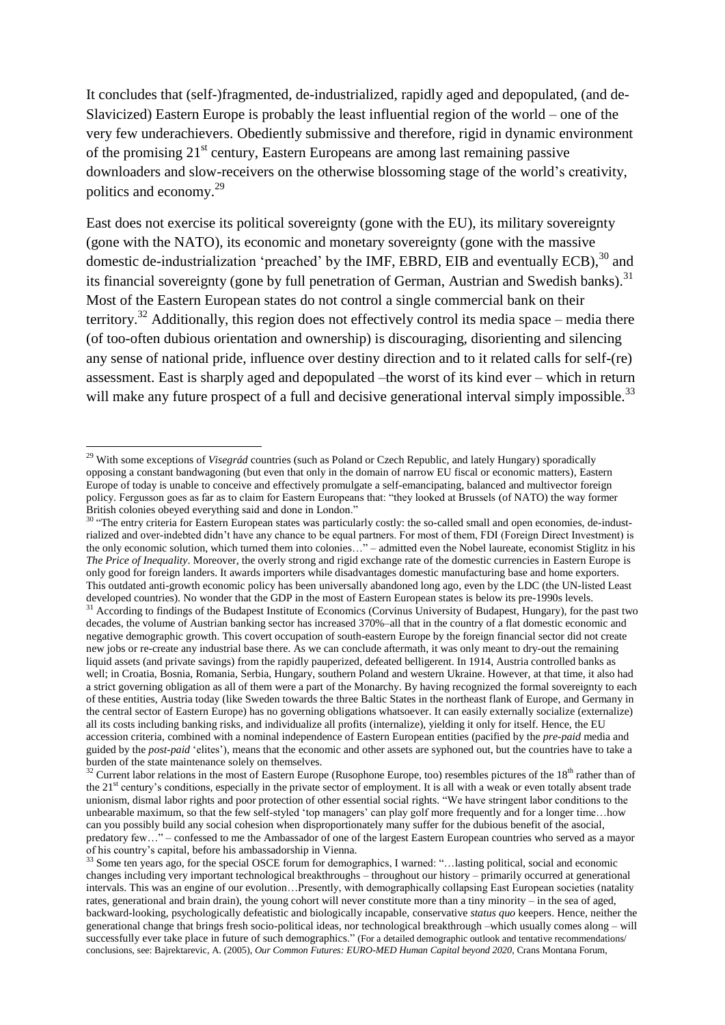It concludes that (self-)fragmented, de-industrialized, rapidly aged and depopulated, (and de-Slavicized) Eastern Europe is probably the least influential region of the world – one of the very few underachievers. Obediently submissive and therefore, rigid in dynamic environment of the promising  $21<sup>st</sup>$  century, Eastern Europeans are among last remaining passive downloaders and slow-receivers on the otherwise blossoming stage of the world"s creativity, politics and economy.<sup>29</sup>

East does not exercise its political sovereignty (gone with the EU), its military sovereignty (gone with the NATO), its economic and monetary sovereignty (gone with the massive domestic de-industrialization 'preached' by the IMF, EBRD, EIB and eventually ECB),  $30$  and its financial sovereignty (gone by full penetration of German, Austrian and Swedish banks).<sup>31</sup> Most of the Eastern European states do not control a single commercial bank on their territory.<sup>32</sup> Additionally, this region does not effectively control its media space – media there (of too-often dubious orientation and ownership) is discouraging, disorienting and silencing any sense of national pride, influence over destiny direction and to it related calls for self-(re) assessment. East is sharply aged and depopulated –the worst of its kind ever – which in return will make any future prospect of a full and decisive generational interval simply impossible.<sup>33</sup>

**.** 

<sup>29</sup> With some exceptions of *Visegrád* countries (such as Poland or Czech Republic, and lately Hungary) sporadically opposing a constant bandwagoning (but even that only in the domain of narrow EU fiscal or economic matters), Eastern Europe of today is unable to conceive and effectively promulgate a self-emancipating, balanced and multivector foreign policy. Fergusson goes as far as to claim for Eastern Europeans that: "they looked at Brussels (of NATO) the way former British colonies obeyed everything said and done in London."

 $30$  "The entry criteria for Eastern European states was particularly costly: the so-called small and open economies, de-industrialized and over-indebted didn"t have any chance to be equal partners. For most of them, FDI (Foreign Direct Investment) is the only economic solution, which turned them into colonies…" – admitted even the Nobel laureate, economist Stiglitz in his *The Price of Inequality*. Moreover, the overly strong and rigid exchange rate of the domestic currencies in Eastern Europe is only good for foreign landers. It awards importers while disadvantages domestic manufacturing base and home exporters. This outdated anti-growth economic policy has been universally abandoned long ago, even by the LDC (the UN-listed Least developed countries). No wonder that the GDP in the most of Eastern European states is below its pre-1990s levels.

 $31$  According to findings of the Budapest Institute of Economics (Corvinus University of Budapest, Hungary), for the past two decades, the volume of Austrian banking sector has increased 370%–all that in the country of a flat domestic economic and negative demographic growth. This covert occupation of south-eastern Europe by the foreign financial sector did not create new jobs or re-create any industrial base there. As we can conclude aftermath, it was only meant to dry-out the remaining liquid assets (and private savings) from the rapidly pauperized, defeated belligerent. In 1914, Austria controlled banks as well; in Croatia, Bosnia, Romania, Serbia, Hungary, southern Poland and western Ukraine. However, at that time, it also had a strict governing obligation as all of them were a part of the Monarchy. By having recognized the formal sovereignty to each of these entities, Austria today (like Sweden towards the three Baltic States in the northeast flank of Europe, and Germany in the central sector of Eastern Europe) has no governing obligations whatsoever. It can easily externally socialize (externalize) all its costs including banking risks, and individualize all profits (internalize), yielding it only for itself. Hence, the EU accession criteria, combined with a nominal independence of Eastern European entities (pacified by the *pre-paid* media and guided by the *post-paid* "elites"), means that the economic and other assets are syphoned out, but the countries have to take a burden of the state maintenance solely on themselves.

 $32$  Current labor relations in the most of Eastern Europe (Rusophone Europe, too) resembles pictures of the  $18<sup>th</sup>$  rather than of the 21<sup>st</sup> century's conditions, especially in the private sector of employment. It is all with a weak or even totally absent trade unionism, dismal labor rights and poor protection of other essential social rights. "We have stringent labor conditions to the unbearable maximum, so that the few self-styled 'top managers' can play golf more frequently and for a longer time...how can you possibly build any social cohesion when disproportionately many suffer for the dubious benefit of the asocial, predatory few…" – confessed to me the Ambassador of one of the largest Eastern European countries who served as a mayor of his country"s capital, before his ambassadorship in Vienna.

 $3$  Some ten years ago, for the special OSCE forum for demographics, I warned: "...lasting political, social and economic changes including very important technological breakthroughs – throughout our history – primarily occurred at generational intervals. This was an engine of our evolution…Presently, with demographically collapsing East European societies (natality rates, generational and brain drain), the young cohort will never constitute more than a tiny minority – in the sea of aged, backward-looking, psychologically defeatistic and biologically incapable, conservative *status quo* keepers. Hence, neither the generational change that brings fresh socio-political ideas, nor technological breakthrough –which usually comes along – will successfully ever take place in future of such demographics." (For a detailed demographic outlook and tentative recommendations/ conclusions, see: Bajrektarevic, A. (2005), *Our Common Futures: EURO-MED Human Capital beyond 2020*, Crans Montana Forum,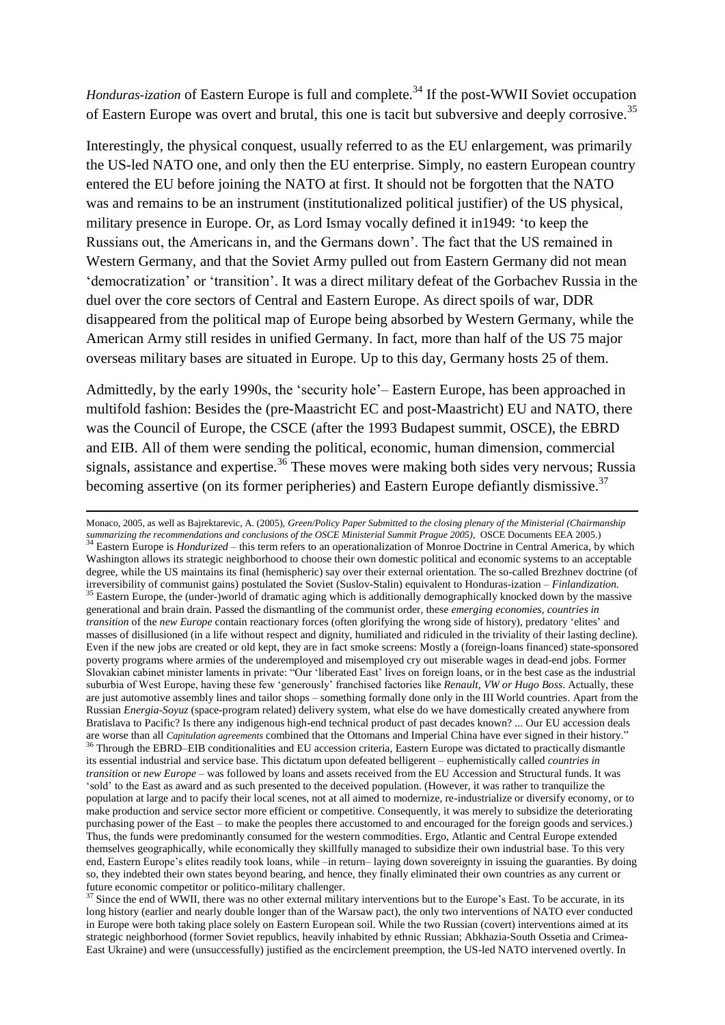*Honduras-ization* of Eastern Europe is full and complete.<sup>34</sup> If the post-WWII Soviet occupation of Eastern Europe was overt and brutal, this one is tacit but subversive and deeply corrosive.<sup>35</sup>

Interestingly, the physical conquest, usually referred to as the EU enlargement, was primarily the US-led NATO one, and only then the EU enterprise. Simply, no eastern European country entered the EU before joining the NATO at first. It should not be forgotten that the NATO was and remains to be an instrument (institutionalized political justifier) of the US physical, military presence in Europe. Or, as Lord Ismay vocally defined it in1949: "to keep the Russians out, the Americans in, and the Germans down". The fact that the US remained in Western Germany, and that the Soviet Army pulled out from Eastern Germany did not mean "democratization" or "transition". It was a direct military defeat of the Gorbachev Russia in the duel over the core sectors of Central and Eastern Europe. As direct spoils of war, DDR disappeared from the political map of Europe being absorbed by Western Germany, while the American Army still resides in unified Germany. In fact, more than half of the US 75 major overseas military bases are situated in Europe. Up to this day, Germany hosts 25 of them.

Admittedly, by the early 1990s, the "security hole"– Eastern Europe, has been approached in multifold fashion: Besides the (pre-Maastricht EC and post-Maastricht) EU and NATO, there was the Council of Europe, the CSCE (after the 1993 Budapest summit, OSCE), the EBRD and EIB. All of them were sending the political, economic, human dimension, commercial signals, assistance and expertise.<sup>36</sup> These moves were making both sides very nervous; Russia becoming assertive (on its former peripheries) and Eastern Europe defiantly dismissive.<sup>37</sup>

 $\overline{a}$ 

Monaco, 2005, as well as Bajrektarevic, A. (2005), *Green/Policy Paper Submitted to the closing plenary of the Ministerial (Chairmanship*  summarizing the recommendations and conclusions of the OSCE Ministerial Summit Prague 2005), OSCE Documents EEA 2005.)<br><sup>34</sup> Eastern Europe is *Hondurized* – this term refers to an operationalization of Monroe Doctrine in C Washington allows its strategic neighborhood to choose their own domestic political and economic systems to an acceptable degree, while the US maintains its final (hemispheric) say over their external orientation. The so-called Brezhnev doctrine (of irreversibility of communist gains) postulated the Soviet (Suslov-Stalin) equivalent to Honduras-ization – *Finlandization.* <sup>35</sup> Eastern Europe, the (under-)world of dramatic aging which is additionally demographically knocked down by the massive generational and brain drain. Passed the dismantling of the communist order, these *emerging economies*, *countries in transition* of the *new Europe* contain reactionary forces (often glorifying the wrong side of history), predatory "elites" and masses of disillusioned (in a life without respect and dignity, humiliated and ridiculed in the triviality of their lasting decline). Even if the new jobs are created or old kept, they are in fact smoke screens: Mostly a (foreign-loans financed) state-sponsored poverty programs where armies of the underemployed and misemployed cry out miserable wages in dead-end jobs. Former Slovakian cabinet minister laments in private: "Our "liberated East" lives on foreign loans, or in the best case as the industrial suburbia of West Europe, having these few "generously" franchised factories like *Renault, VW or Hugo Boss*. Actually, these are just automotive assembly lines and tailor shops – something formally done only in the III World countries. Apart from the Russian *Energia-Soyuz* (space-program related) delivery system, what else do we have domestically created anywhere from Bratislava to Pacific? Is there any indigenous high-end technical product of past decades known? ... Our EU accession deals are worse than all *Capitulation agreements* combined that the Ottomans and Imperial China have ever signed in their history."  $\overline{3}$  Through the EBRD–EIB conditionalities and EU accession criteria, Eastern Europe was dictated to practically dismantle its essential industrial and service base. This dictatum upon defeated belligerent – euphemistically called *countries in transition* or *new Europe* – was followed by loans and assets received from the EU Accession and Structural funds. It was "sold" to the East as award and as such presented to the deceived population. (However, it was rather to tranquilize the population at large and to pacify their local scenes, not at all aimed to modernize, re-industrialize or diversify economy, or to make production and service sector more efficient or competitive. Consequently, it was merely to subsidize the deteriorating purchasing power of the East – to make the peoples there accustomed to and encouraged for the foreign goods and services.) Thus, the funds were predominantly consumed for the western commodities. Ergo, Atlantic and Central Europe extended themselves geographically, while economically they skillfully managed to subsidize their own industrial base. To this very end, Eastern Europe's elites readily took loans, while –in return– laying down sovereignty in issuing the guaranties. By doing so, they indebted their own states beyond bearing, and hence, they finally eliminated their own countries as any current or future economic competitor or politico-military challenger.

 $37$  Since the end of WWII, there was no other external military interventions but to the Europe's East. To be accurate, in its long history (earlier and nearly double longer than of the Warsaw pact), the only two interventions of NATO ever conducted in Europe were both taking place solely on Eastern European soil. While the two Russian (covert) interventions aimed at its strategic neighborhood (former Soviet republics, heavily inhabited by ethnic Russian; Abkhazia-South Ossetia and Crimea-East Ukraine) and were (unsuccessfully) justified as the encirclement preemption, the US-led NATO intervened overtly. In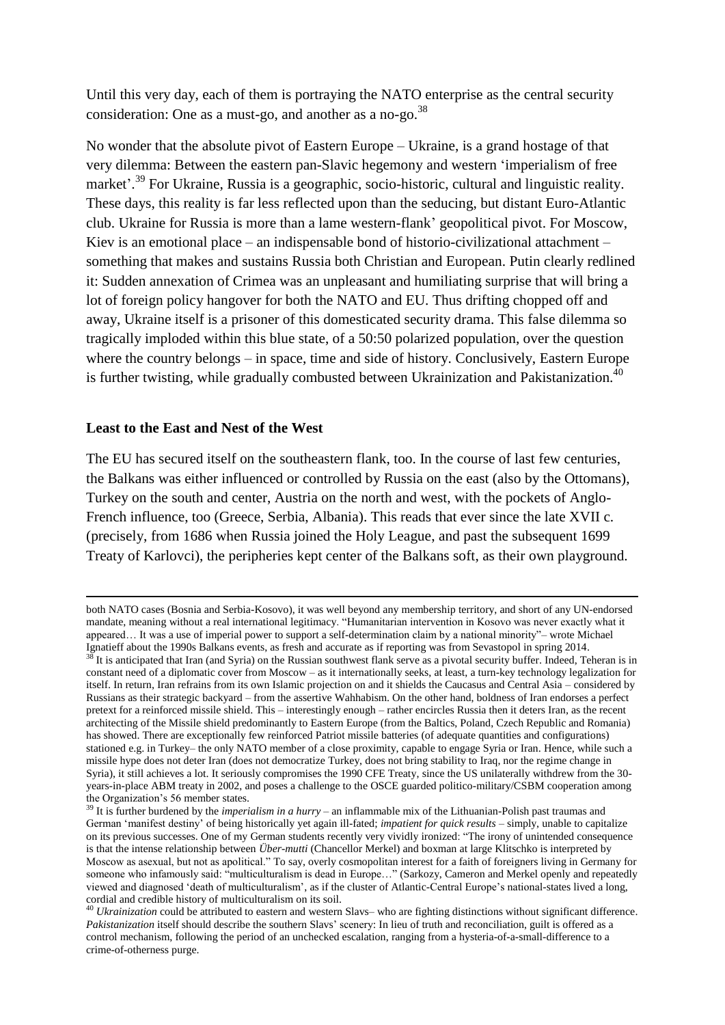Until this very day, each of them is portraying the NATO enterprise as the central security consideration: One as a must-go, and another as a no-go.<sup>38</sup>

No wonder that the absolute pivot of Eastern Europe – Ukraine, is a grand hostage of that very dilemma: Between the eastern pan-Slavic hegemony and western "imperialism of free market'.<sup>39</sup> For Ukraine, Russia is a geographic, socio-historic, cultural and linguistic reality. These days, this reality is far less reflected upon than the seducing, but distant Euro-Atlantic club. Ukraine for Russia is more than a lame western-flank" geopolitical pivot. For Moscow, Kiev is an emotional place – an indispensable bond of historio-civilizational attachment – something that makes and sustains Russia both Christian and European. Putin clearly redlined it: Sudden annexation of Crimea was an unpleasant and humiliating surprise that will bring a lot of foreign policy hangover for both the NATO and EU. Thus drifting chopped off and away, Ukraine itself is a prisoner of this domesticated security drama. This false dilemma so tragically imploded within this blue state, of a 50:50 polarized population, over the question where the country belongs – in space, time and side of history. Conclusively, Eastern Europe is further twisting, while gradually combusted between Ukrainization and Pakistanization.<sup>40</sup>

### **Least to the East and Nest of the West**

 $\overline{a}$ 

The EU has secured itself on the southeastern flank, too. In the course of last few centuries, the Balkans was either influenced or controlled by Russia on the east (also by the Ottomans), Turkey on the south and center, Austria on the north and west, with the pockets of Anglo-French influence, too (Greece, Serbia, Albania). This reads that ever since the late XVII c. (precisely, from 1686 when Russia joined the Holy League, and past the subsequent 1699 Treaty of Karlovci), the peripheries kept center of the Balkans soft, as their own playground.

both NATO cases (Bosnia and Serbia-Kosovo), it was well beyond any membership territory, and short of any UN-endorsed mandate, meaning without a real international legitimacy. "Humanitarian intervention in Kosovo was never exactly what it appeared… It was a use of imperial power to support a self-determination claim by a national minority"– wrote Michael Ignatieff about the 1990s Balkans events, as fresh and accurate as if reporting was from Sevastopol in spring 2014.  $38$  It is anticipated that Iran (and Syria) on the Russian southwest flank serve as a pivotal security buffer. Indeed, Teheran is in constant need of a diplomatic cover from Moscow – as it internationally seeks, at least, a turn-key technology legalization for itself. In return, Iran refrains from its own Islamic projection on and it shields the Caucasus and Central Asia – considered by Russians as their strategic backyard – from the assertive Wahhabism. On the other hand, boldness of Iran endorses a perfect pretext for a reinforced missile shield. This – interestingly enough – rather encircles Russia then it deters Iran, as the recent architecting of the Missile shield predominantly to Eastern Europe (from the Baltics, Poland, Czech Republic and Romania) has showed. There are exceptionally few reinforced Patriot missile batteries (of adequate quantities and configurations) stationed e.g. in Turkey– the only NATO member of a close proximity, capable to engage Syria or Iran. Hence, while such a missile hype does not deter Iran (does not democratize Turkey, does not bring stability to Iraq, nor the regime change in Syria), it still achieves a lot. It seriously compromises the 1990 CFE Treaty, since the US unilaterally withdrew from the 30 years-in-place ABM treaty in 2002, and poses a challenge to the OSCE guarded politico-military/CSBM cooperation among the Organization"s 56 member states.

<sup>39</sup> It is further burdened by the *imperialism in a hurry* – an inflammable mix of the Lithuanian-Polish past traumas and German "manifest destiny" of being historically yet again ill-fated; *impatient for quick results* – simply, unable to capitalize on its previous successes. One of my German students recently very vividly ironized: "The irony of unintended consequence is that the intense relationship between *Über-mutti* (Chancellor Merkel) and boxman at large Klitschko is interpreted by Moscow as asexual, but not as apolitical." To say, overly cosmopolitan interest for a faith of foreigners living in Germany for someone who infamously said: "multiculturalism is dead in Europe..." (Sarkozy, Cameron and Merkel openly and repeatedly viewed and diagnosed "death of multiculturalism", as if the cluster of Atlantic-Central Europe"s national-states lived a long, cordial and credible history of multiculturalism on its soil.

<sup>&</sup>lt;sup>40</sup> *Ukrainization* could be attributed to eastern and western Slavs– who are fighting distinctions without significant difference. *Pakistanization* itself should describe the southern Slavs" scenery: In lieu of truth and reconciliation, guilt is offered as a control mechanism, following the period of an unchecked escalation, ranging from a hysteria-of-a-small-difference to a crime-of-otherness purge.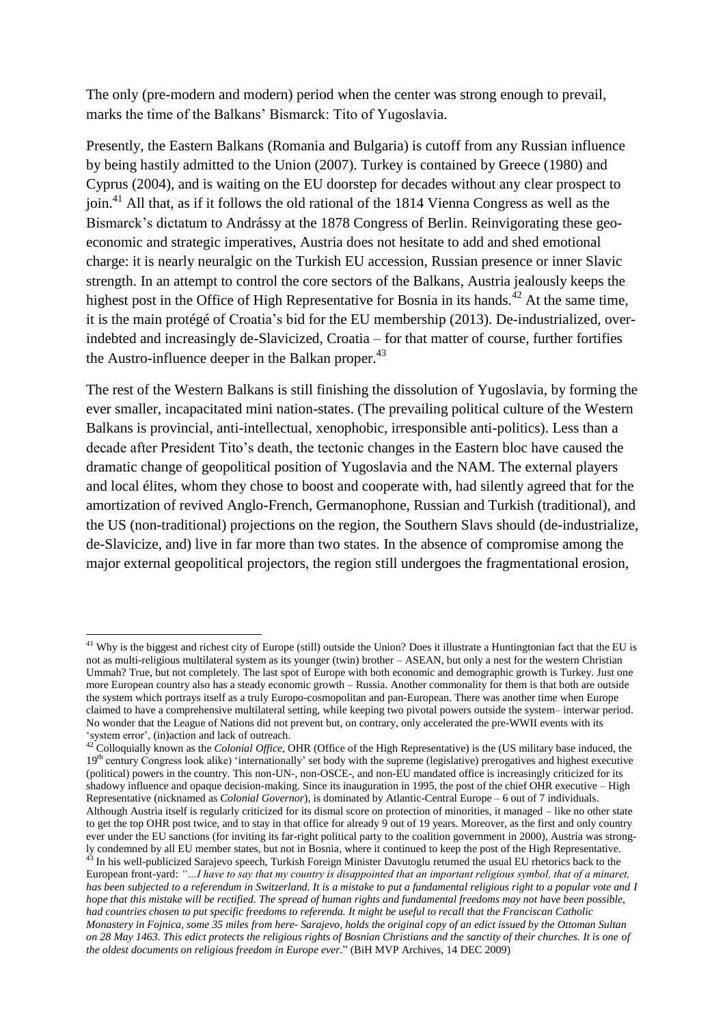The only (pre-modern and modern) period when the center was strong enough to prevail, marks the time of the Balkans" Bismarck: Tito of Yugoslavia.

Presently, the Eastern Balkans (Romania and Bulgaria) is cutoff from any Russian influence by being hastily admitted to the Union (2007). Turkey is contained by Greece (1980) and Cyprus (2004), and is waiting on the EU doorstep for decades without any clear prospect to join.<sup>41</sup> All that, as if it follows the old rational of the 1814 Vienna Congress as well as the Bismarck"s dictatum to Andrássy at the 1878 Congress of Berlin. Reinvigorating these geoeconomic and strategic imperatives, Austria does not hesitate to add and shed emotional charge: it is nearly neuralgic on the Turkish EU accession, Russian presence or inner Slavic strength. In an attempt to control the core sectors of the Balkans, Austria jealously keeps the highest post in the Office of High Representative for Bosnia in its hands.<sup>42</sup> At the same time, it is the main protégé of Croatia"s bid for the EU membership (2013). De-industrialized, overindebted and increasingly de-Slavicized, Croatia – for that matter of course, further fortifies the Austro-influence deeper in the Balkan proper.<sup>43</sup>

The rest of the Western Balkans is still finishing the dissolution of Yugoslavia, by forming the ever smaller, incapacitated mini nation-states. (The prevailing political culture of the Western Balkans is provincial, anti-intellectual, xenophobic, irresponsible anti-politics). Less than a decade after President Tito"s death, the tectonic changes in the Eastern bloc have caused the dramatic change of geopolitical position of Yugoslavia and the NAM. The external players and local élites, whom they chose to boost and cooperate with, had silently agreed that for the amortization of revived Anglo-French, Germanophone, Russian and Turkish (traditional), and the US (non-traditional) projections on the region, the Southern Slavs should (de-industrialize, de-Slavicize, and) live in far more than two states. In the absence of compromise among the major external geopolitical projectors, the region still undergoes the fragmentational erosion,

**.** 

<sup>&</sup>lt;sup>41</sup> Why is the biggest and richest city of Europe (still) outside the Union? Does it illustrate a Huntingtonian fact that the EU is not as multi-religious multilateral system as its younger (twin) brother – ASEAN, but only a nest for the western Christian Ummah? True, but not completely. The last spot of Europe with both economic and demographic growth is Turkey. Just one more European country also has a steady economic growth – Russia. Another commonality for them is that both are outside the system which portrays itself as a truly Europo-cosmopolitan and pan-European. There was another time when Europe claimed to have a comprehensive multilateral setting, while keeping two pivotal powers outside the system– interwar period. No wonder that the League of Nations did not prevent but, on contrary, only accelerated the pre-WWII events with its "system error", (in)action and lack of outreach.

<sup>42</sup> Colloquially known as the *Colonial Office*, OHR (Office of the High Representative) is the (US military base induced, the 19<sup>th</sup> century Congress look alike) 'internationally' set body with the supreme (legislative) prerogatives and highest executive (political) powers in the country. This non-UN-, non-OSCE-, and non-EU mandated office is increasingly criticized for its shadowy influence and opaque decision-making. Since its inauguration in 1995, the post of the chief OHR executive – High Representative (nicknamed as *Colonial Governor*), is dominated by Atlantic-Central Europe – 6 out of 7 individuals. Although Austria itself is regularly criticized for its dismal score on protection of minorities, it managed – like no other state to get the top OHR post twice, and to stay in that office for already 9 out of 19 years. Moreover, as the first and only country ever under the EU sanctions (for inviting its far-right political party to the coalition government in 2000), Austria was strongly condemned by all EU member states, but not in Bosnia, where it continued to keep the post of the High Representative. <sup>43</sup> In his well-publicized Sarajevo speech, Turkish Foreign Minister Davutoglu returned the usual EU rhetorics back to the European front-yard: *"…I have to say that my country is disappointed that an important religious symbol, that of a minaret, has been subjected to a referendum in Switzerland. It is a mistake to put a fundamental religious right to a popular vote and I hope that this mistake will be rectified. The spread of human rights and fundamental freedoms may not have been possible, had countries chosen to put specific freedoms to referenda. It might be useful to recall that the Franciscan Catholic Monastery in Fojnica, some 35 miles from here- Sarajevo, holds the original copy of an edict issued by the Ottoman Sultan on 28 May 1463. This edict protects the religious rights of Bosnian Christians and the sanctity of their churches. It is one of the oldest documents on religious freedom in Europe ever.*" (BiH MVP Archives, 14 DEC 2009)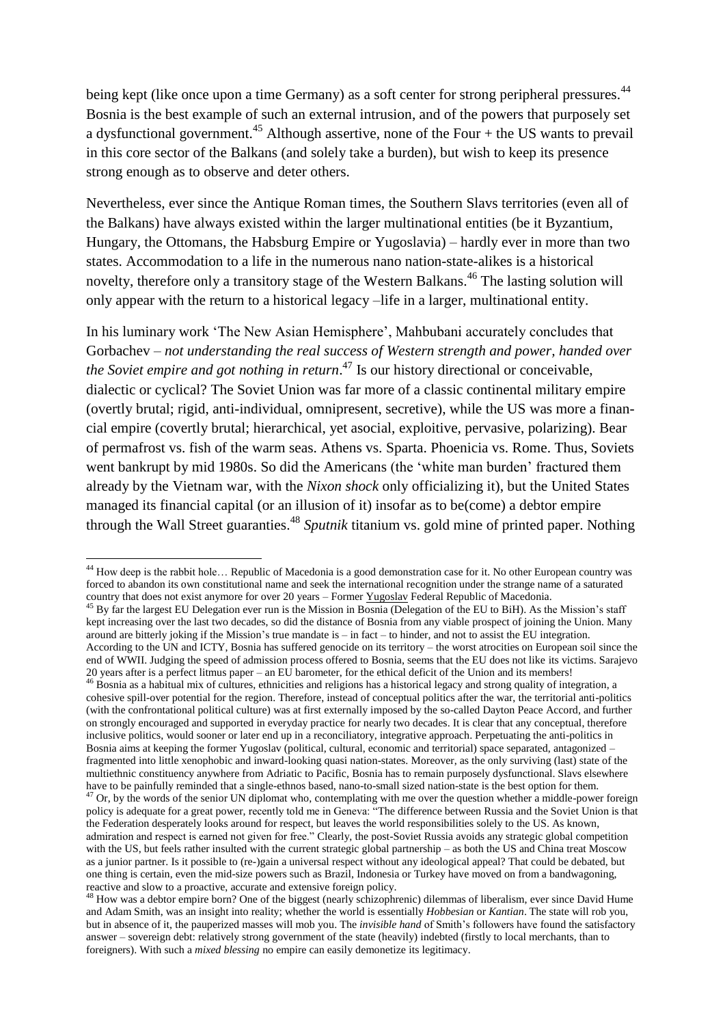being kept (like once upon a time Germany) as a soft center for strong peripheral pressures.<sup>44</sup> Bosnia is the best example of such an external intrusion, and of the powers that purposely set a dysfunctional government.<sup>45</sup> Although assertive, none of the Four  $+$  the US wants to prevail in this core sector of the Balkans (and solely take a burden), but wish to keep its presence strong enough as to observe and deter others.

Nevertheless, ever since the Antique Roman times, the Southern Slavs territories (even all of the Balkans) have always existed within the larger multinational entities (be it Byzantium, Hungary, the Ottomans, the Habsburg Empire or Yugoslavia) – hardly ever in more than two states. Accommodation to a life in the numerous nano nation-state-alikes is a historical novelty, therefore only a transitory stage of the Western Balkans.<sup>46</sup> The lasting solution will only appear with the return to a historical legacy –life in a larger, multinational entity.

In his luminary work "The New Asian Hemisphere", Mahbubani accurately concludes that Gorbachev – *not understanding the real success of Western strength and power, handed over the Soviet empire and got nothing in return*. <sup>47</sup> Is our history directional or conceivable, dialectic or cyclical? The Soviet Union was far more of a classic continental military empire (overtly brutal; rigid, anti-individual, omnipresent, secretive), while the US was more a financial empire (covertly brutal; hierarchical, yet asocial, exploitive, pervasive, polarizing). Bear of permafrost vs. fish of the warm seas. Athens vs. Sparta. Phoenicia vs. Rome. Thus, Soviets went bankrupt by mid 1980s. So did the Americans (the "white man burden" fractured them already by the Vietnam war, with the *Nixon shock* only officializing it), but the United States managed its financial capital (or an illusion of it) insofar as to be(come) a debtor empire through the Wall Street guaranties. <sup>48</sup> *Sputnik* titanium vs. gold mine of printed paper. Nothing

<sup>46</sup> Bosnia as a habitual mix of cultures, ethnicities and religions has a historical legacy and strong quality of integration, a cohesive spill-over potential for the region. Therefore, instead of conceptual politics after the war, the territorial anti-politics (with the confrontational political culture) was at first externally imposed by the so-called Dayton Peace Accord, and further on strongly encouraged and supported in everyday practice for nearly two decades. It is clear that any conceptual, therefore inclusive politics, would sooner or later end up in a reconciliatory, integrative approach. Perpetuating the anti-politics in Bosnia aims at keeping the former Yugoslav (political, cultural, economic and territorial) space separated, antagonized – fragmented into little xenophobic and inward-looking quasi nation-states. Moreover, as the only surviving (last) state of the multiethnic constituency anywhere from Adriatic to Pacific, Bosnia has to remain purposely dysfunctional. Slavs elsewhere have to be painfully reminded that a single-ethnos based, nano-to-small sized nation-state is the best option for them. <sup>47</sup> Or, by the words of the senior UN diplomat who, contemplating with me over the question whether a middle-power foreign policy is adequate for a great power, recently told me in Geneva: "The difference between Russia and the Soviet Union is that the Federation desperately looks around for respect, but leaves the world responsibilities solely to the US. As known, admiration and respect is earned not given for free." Clearly, the post-Soviet Russia avoids any strategic global competition with the US, but feels rather insulted with the current strategic global partnership – as both the US and China treat Moscow as a junior partner. Is it possible to (re-)gain a universal respect without any ideological appeal? That could be debated, but one thing is certain, even the mid-size powers such as Brazil, Indonesia or Turkey have moved on from a bandwagoning,

<sup>1</sup>  $44$  How deep is the rabbit hole... Republic of Macedonia is a good demonstration case for it. No other European country was forced to abandon its own constitutional name and seek the international recognition under the strange name of a saturated country that does not exist anymore for over 20 years – Former Yugoslav Federal Republic of Macedonia.

<sup>&</sup>lt;sup>45</sup> By far the largest EU Delegation ever run is the Mission in Bosnia (Delegation of the EU to BiH). As the Mission's staff kept increasing over the last two decades, so did the distance of Bosnia from any viable prospect of joining the Union. Many around are bitterly joking if the Mission"s true mandate is – in fact – to hinder, and not to assist the EU integration. According to the UN and ICTY, Bosnia has suffered genocide on its territory – the worst atrocities on European soil since the end of WWII. Judging the speed of admission process offered to Bosnia, seems that the EU does not like its victims. Sarajevo 20 years after is a perfect litmus paper – an EU barometer, for the ethical deficit of the Union and its members!

reactive and slow to a proactive, accurate and extensive foreign policy.

<sup>&</sup>lt;sup>48</sup> How was a debtor empire born? One of the biggest (nearly schizophrenic) dilemmas of liberalism, ever since David Hume and Adam Smith, was an insight into reality; whether the world is essentially *Hobbesian* or *Kantian*. The state will rob you, but in absence of it, the pauperized masses will mob you. The *invisible hand* of Smith"s followers have found the satisfactory answer – sovereign debt: relatively strong government of the state (heavily) indebted (firstly to local merchants, than to foreigners). With such a *mixed blessing* no empire can easily demonetize its legitimacy.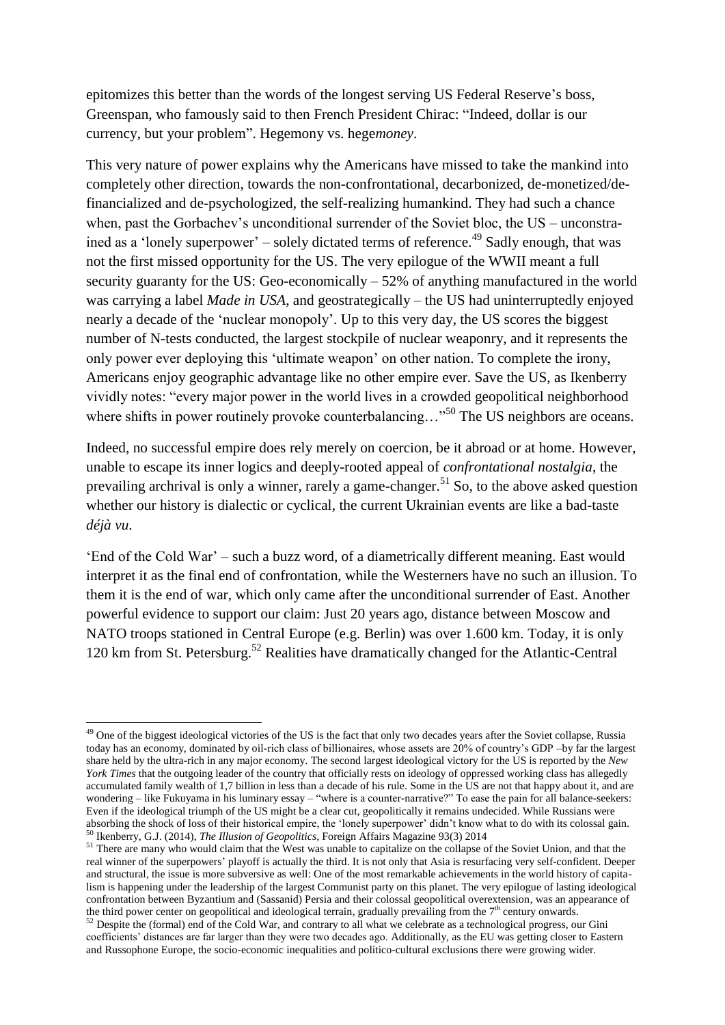epitomizes this better than the words of the longest serving US Federal Reserve's boss, Greenspan, who famously said to then French President Chirac: "Indeed, dollar is our currency, but your problem". Hegemony vs. hege*money*.

This very nature of power explains why the Americans have missed to take the mankind into completely other direction, towards the non-confrontational, decarbonized, de-monetized/definancialized and de-psychologized, the self-realizing humankind. They had such a chance when, past the Gorbachev's unconditional surrender of the Soviet bloc, the US – unconstrained as a 'lonely superpower' – solely dictated terms of reference.<sup>49</sup> Sadly enough, that was not the first missed opportunity for the US. The very epilogue of the WWII meant a full security guaranty for the US: Geo-economically – 52% of anything manufactured in the world was carrying a label *Made in USA*, and geostrategically – the US had uninterruptedly enjoyed nearly a decade of the "nuclear monopoly". Up to this very day, the US scores the biggest number of N-tests conducted, the largest stockpile of nuclear weaponry, and it represents the only power ever deploying this "ultimate weapon" on other nation. To complete the irony, Americans enjoy geographic advantage like no other empire ever. Save the US, as Ikenberry vividly notes: "every major power in the world lives in a crowded geopolitical neighborhood where shifts in power routinely provoke counterbalancing…"<sup>50</sup> The US neighbors are oceans.

Indeed, no successful empire does rely merely on coercion, be it abroad or at home. However, unable to escape its inner logics and deeply-rooted appeal of *confrontational nostalgia*, the prevailing archrival is only a winner, rarely a game-changer.<sup>51</sup> So, to the above asked question whether our history is dialectic or cyclical, the current Ukrainian events are like a bad-taste *déjà vu*.

"End of the Cold War" – such a buzz word, of a diametrically different meaning. East would interpret it as the final end of confrontation, while the Westerners have no such an illusion. To them it is the end of war, which only came after the unconditional surrender of East. Another powerful evidence to support our claim: Just 20 years ago, distance between Moscow and NATO troops stationed in Central Europe (e.g. Berlin) was over 1.600 km. Today, it is only 120 km from St. Petersburg.<sup>52</sup> Realities have dramatically changed for the Atlantic-Central

<sup>1</sup> <sup>49</sup> One of the biggest ideological victories of the US is the fact that only two decades years after the Soviet collapse, Russia today has an economy, dominated by oil-rich class of billionaires, whose assets are 20% of country"s GDP –by far the largest share held by the ultra-rich in any major economy. The second largest ideological victory for the US is reported by the *New York Times* that the outgoing leader of the country that officially rests on ideology of oppressed working class has allegedly accumulated family wealth of 1,7 billion in less than a decade of his rule. Some in the US are not that happy about it, and are wondering – like Fukuyama in his luminary essay – "where is a counter-narrative?" To ease the pain for all balance-seekers: Even if the ideological triumph of the US might be a clear cut, geopolitically it remains undecided. While Russians were absorbing the shock of loss of their historical empire, the "lonely superpower" didn"t know what to do with its colossal gain. <sup>50</sup> Ikenberry, G.J. (2014), *The Illusion of Geopolitics*, Foreign Affairs Magazine 93(3) 2014

<sup>&</sup>lt;sup>51</sup> There are many who would claim that the West was unable to capitalize on the collapse of the Soviet Union, and that the real winner of the superpowers" playoff is actually the third. It is not only that Asia is resurfacing very self-confident. Deeper and structural, the issue is more subversive as well: One of the most remarkable achievements in the world history of capitalism is happening under the leadership of the largest Communist party on this planet. The very epilogue of lasting ideological confrontation between Byzantium and (Sassanid) Persia and their colossal geopolitical overextension, was an appearance of the third power center on geopolitical and ideological terrain, gradually prevailing from the 7<sup>th</sup> century onwards.

<sup>&</sup>lt;sup>52</sup> Despite the (formal) end of the Cold War, and contrary to all what we celebrate as a technological progress, our Gini coefficients" distances are far larger than they were two decades ago. Additionally, as the EU was getting closer to Eastern and Russophone Europe, the socio-economic inequalities and politico-cultural exclusions there were growing wider.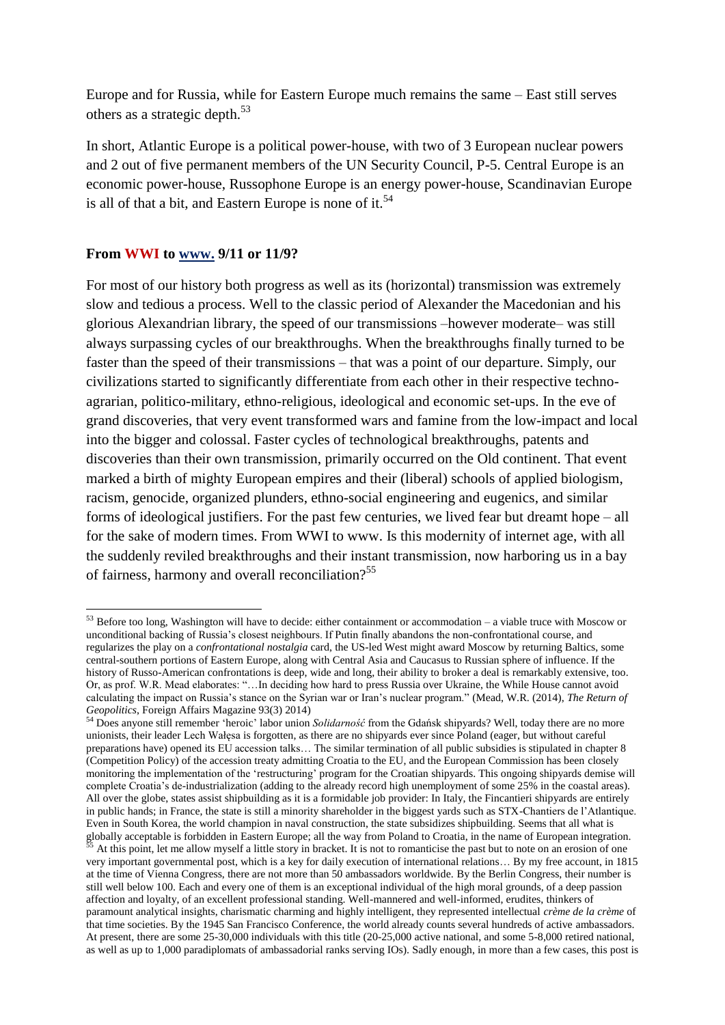Europe and for Russia, while for Eastern Europe much remains the same – East still serves others as a strategic depth. $53$ 

In short, Atlantic Europe is a political power-house, with two of 3 European nuclear powers and 2 out of five permanent members of the UN Security Council, P-5. Central Europe is an economic power-house, Russophone Europe is an energy power-house, Scandinavian Europe is all of that a bit, and Eastern Europe is none of it.<sup>54</sup>

### **From WWI to www. 9/11 or 11/9?**

**.** 

For most of our history both progress as well as its (horizontal) transmission was extremely slow and tedious a process. Well to the classic period of Alexander the Macedonian and his glorious Alexandrian library, the speed of our transmissions –however moderate– was still always surpassing cycles of our breakthroughs. When the breakthroughs finally turned to be faster than the speed of their transmissions – that was a point of our departure. Simply, our civilizations started to significantly differentiate from each other in their respective technoagrarian, politico-military, ethno-religious, ideological and economic set-ups. In the eve of grand discoveries, that very event transformed wars and famine from the low-impact and local into the bigger and colossal. Faster cycles of technological breakthroughs, patents and discoveries than their own transmission, primarily occurred on the Old continent. That event marked a birth of mighty European empires and their (liberal) schools of applied biologism, racism, genocide, organized plunders, ethno-social engineering and eugenics, and similar forms of ideological justifiers. For the past few centuries, we lived fear but dreamt hope – all for the sake of modern times. From WWI to www. Is this modernity of internet age, with all the suddenly reviled breakthroughs and their instant transmission, now harboring us in a bay of fairness, harmony and overall reconciliation?<sup>55</sup>

 $53$  Before too long, Washington will have to decide: either containment or accommodation – a viable truce with Moscow or unconditional backing of Russia"s closest neighbours. If Putin finally abandons the non-confrontational course, and regularizes the play on a *confrontational nostalgia* card, the US-led West might award Moscow by returning Baltics, some central-southern portions of Eastern Europe, along with Central Asia and Caucasus to Russian sphere of influence. If the history of Russo-American confrontations is deep, wide and long, their ability to broker a deal is remarkably extensive, too. Or, as prof. W.R. Mead elaborates: "…In deciding how hard to press Russia over Ukraine, the While House cannot avoid calculating the impact on Russia"s stance on the Syrian war or Iran"s nuclear program." (Mead, W.R. (2014), *The Return of Geopolitics*, Foreign Affairs Magazine 93(3) 2014)

<sup>54</sup> Does anyone still remember "heroic" labor union *Solidarność* from the Gdańsk shipyards? Well, today there are no more unionists, their leader Lech Wałęsa is forgotten, as there are no shipyards ever since Poland (eager, but without careful preparations have) opened its EU accession talks… The similar termination of all public subsidies is stipulated in chapter 8 (Competition Policy) of the accession treaty admitting Croatia to the EU, and the European Commission has been closely monitoring the implementation of the "restructuring" program for the Croatian shipyards. This ongoing shipyards demise will complete Croatia"s de-industrialization (adding to the already record high unemployment of some 25% in the coastal areas). All over the globe, states assist shipbuilding as it is a formidable job provider: In Italy, the Fincantieri shipyards are entirely in public hands; in France, the state is still a minority shareholder in the biggest yards such as STX-Chantiers de l"Atlantique. Even in South Korea, the world champion in naval construction, the state subsidizes shipbuilding. Seems that all what is globally acceptable is forbidden in Eastern Europe; all the way from Poland to Croatia, in the name of European integration.

At this point, let me allow myself a little story in bracket. It is not to romanticise the past but to note on an erosion of one very important governmental post, which is a key for daily execution of international relations… By my free account, in 1815 at the time of Vienna Congress, there are not more than 50 ambassadors worldwide. By the Berlin Congress, their number is still well below 100. Each and every one of them is an exceptional individual of the high moral grounds, of a deep passion affection and loyalty, of an excellent professional standing. Well-mannered and well-informed, erudites, thinkers of paramount analytical insights, charismatic charming and highly intelligent, they represented intellectual *crème de la crème* of that time societies. By the 1945 San Francisco Conference, the world already counts several hundreds of active ambassadors. At present, there are some 25-30,000 individuals with this title (20-25,000 active national, and some 5-8,000 retired national, as well as up to 1,000 paradiplomats of ambassadorial ranks serving IOs). Sadly enough, in more than a few cases, this post is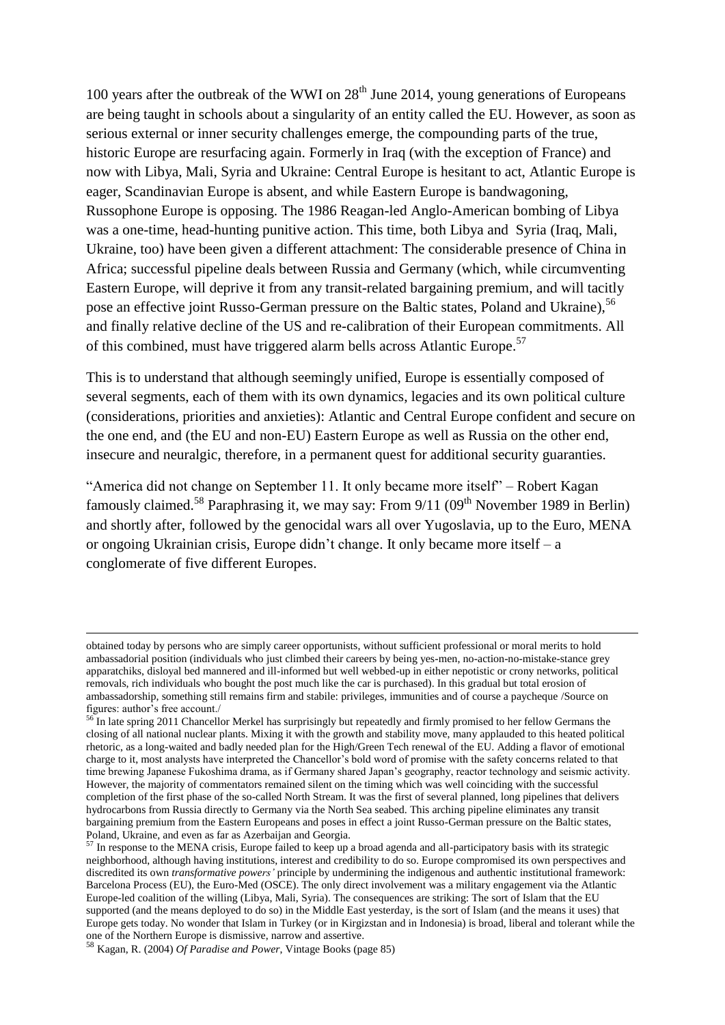100 years after the outbreak of the WWI on  $28<sup>th</sup>$  June 2014, young generations of Europeans are being taught in schools about a singularity of an entity called the EU. However, as soon as serious external or inner security challenges emerge, the compounding parts of the true, historic Europe are resurfacing again. Formerly in Iraq (with the exception of France) and now with Libya, Mali, Syria and Ukraine: Central Europe is hesitant to act, Atlantic Europe is eager, Scandinavian Europe is absent, and while Eastern Europe is bandwagoning, Russophone Europe is opposing. The 1986 Reagan-led Anglo-American bombing of Libya was a one-time, head-hunting punitive action. This time, both Libya and Syria (Iraq, Mali, Ukraine, too) have been given a different attachment: The considerable presence of China in Africa; successful pipeline deals between Russia and Germany (which, while circumventing Eastern Europe, will deprive it from any transit-related bargaining premium, and will tacitly pose an effective joint Russo-German pressure on the Baltic states, Poland and Ukraine), <sup>56</sup> and finally relative decline of the US and re-calibration of their European commitments. All of this combined, must have triggered alarm bells across Atlantic Europe.<sup>57</sup>

This is to understand that although seemingly unified, Europe is essentially composed of several segments, each of them with its own dynamics, legacies and its own political culture (considerations, priorities and anxieties): Atlantic and Central Europe confident and secure on the one end, and (the EU and non-EU) Eastern Europe as well as Russia on the other end, insecure and neuralgic, therefore, in a permanent quest for additional security guaranties.

"America did not change on September 11. It only became more itself" – Robert Kagan famously claimed.<sup>58</sup> Paraphrasing it, we may say: From 9/11 (09<sup>th</sup> November 1989 in Berlin) and shortly after, followed by the genocidal wars all over Yugoslavia, up to the Euro, MENA or ongoing Ukrainian crisis, Europe didn"t change. It only became more itself – a conglomerate of five different Europes.

obtained today by persons who are simply career opportunists, without sufficient professional or moral merits to hold ambassadorial position (individuals who just climbed their careers by being yes-men, no-action-no-mistake-stance grey apparatchiks, disloyal bed mannered and ill-informed but well webbed-up in either nepotistic or crony networks, political removals, rich individuals who bought the post much like the car is purchased). In this gradual but total erosion of ambassadorship, something still remains firm and stabile: privileges, immunities and of course a paycheque /Source on figures: author"s free account./

<sup>&</sup>lt;sup>56</sup> In late spring 2011 Chancellor Merkel has surprisingly but repeatedly and firmly promised to her fellow Germans the closing of all national nuclear plants. Mixing it with the growth and stability move, many applauded to this heated political rhetoric, as a long-waited and badly needed plan for the High/Green Tech renewal of the EU. Adding a flavor of emotional charge to it, most analysts have interpreted the Chancellor"s bold word of promise with the safety concerns related to that time brewing Japanese Fukoshima drama, as if Germany shared Japan"s geography, reactor technology and seismic activity. However, the majority of commentators remained silent on the timing which was well coinciding with the successful completion of the first phase of the so-called North Stream. It was the first of several planned, long pipelines that delivers hydrocarbons from Russia directly to Germany via the North Sea seabed. This arching pipeline eliminates any transit bargaining premium from the Eastern Europeans and poses in effect a joint Russo-German pressure on the Baltic states, Poland, Ukraine, and even as far as Azerbaijan and Georgia.

 $57$  In response to the MENA crisis, Europe failed to keep up a broad agenda and all-participatory basis with its strategic neighborhood, although having institutions, interest and credibility to do so. Europe compromised its own perspectives and discredited its own *transformative powers'* principle by undermining the indigenous and authentic institutional framework: Barcelona Process (EU), the Euro-Med (OSCE). The only direct involvement was a military engagement via the Atlantic Europe-led coalition of the willing (Libya, Mali, Syria). The consequences are striking: The sort of Islam that the EU supported (and the means deployed to do so) in the Middle East yesterday, is the sort of Islam (and the means it uses) that Europe gets today. No wonder that Islam in Turkey (or in Kirgizstan and in Indonesia) is broad, liberal and tolerant while the one of the Northern Europe is dismissive, narrow and assertive.

<sup>58</sup> Kagan, R. (2004) *Of Paradise and Power*, Vintage Books (page 85)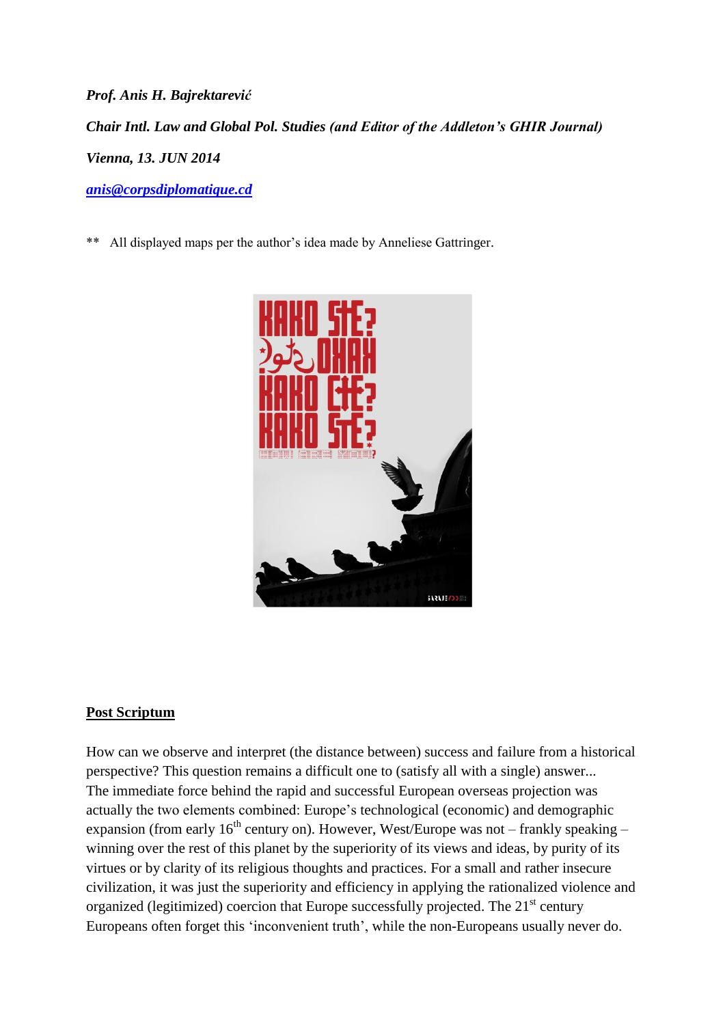*Prof. Anis H. Bajrektarević Chair Intl. Law and Global Pol. Studies (and Editor of the Addleton's GHIR Journal) Vienna, 13. JUN 2014 [anis@corpsdiplomatique.cd](mailto:anis@corpsdiplomatique.cd)*

\*\* All displayed maps per the author"s idea made by Anneliese Gattringer.



# **Post Scriptum**

How can we observe and interpret (the distance between) success and failure from a historical perspective? This question remains a difficult one to (satisfy all with a single) answer... The immediate force behind the rapid and successful European overseas projection was actually the two elements combined: Europe"s technological (economic) and demographic expansion (from early  $16<sup>th</sup>$  century on). However, West/Europe was not – frankly speaking – winning over the rest of this planet by the superiority of its views and ideas, by purity of its virtues or by clarity of its religious thoughts and practices. For a small and rather insecure civilization, it was just the superiority and efficiency in applying the rationalized violence and organized (legitimized) coercion that Europe successfully projected. The 21<sup>st</sup> century Europeans often forget this "inconvenient truth", while the non-Europeans usually never do.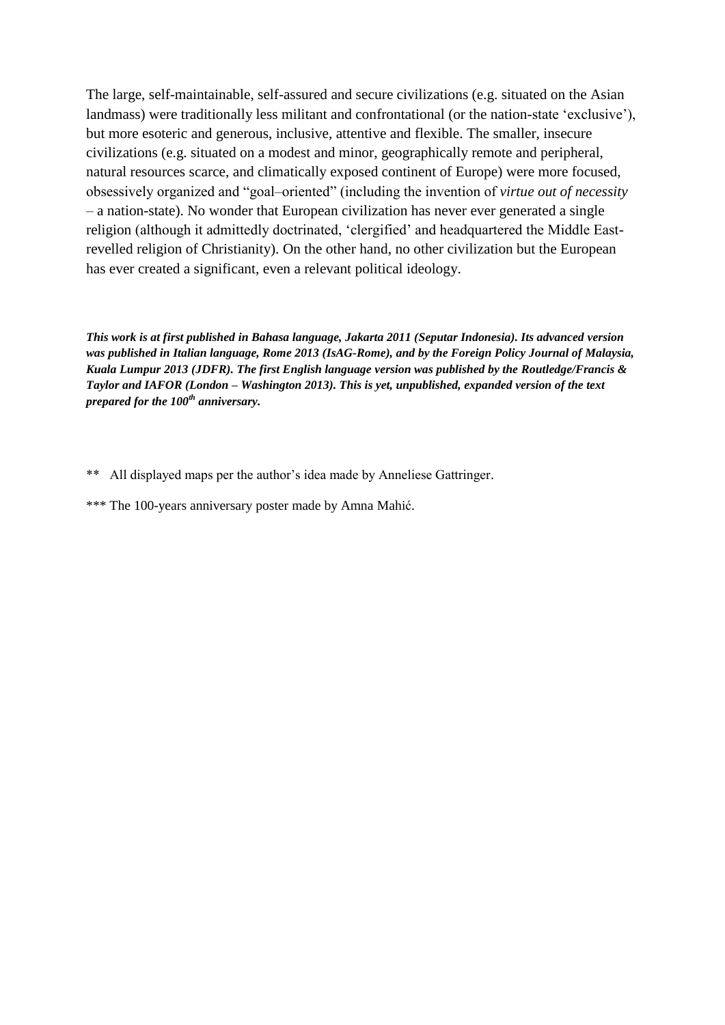The large, self-maintainable, self-assured and secure civilizations (e.g. situated on the Asian landmass) were traditionally less militant and confrontational (or the nation-state 'exclusive'), but more esoteric and generous, inclusive, attentive and flexible. The smaller, insecure civilizations (e.g. situated on a modest and minor, geographically remote and peripheral, natural resources scarce, and climatically exposed continent of Europe) were more focused, obsessively organized and "goal–oriented" (including the invention of *virtue out of necessity* – a nation-state). No wonder that European civilization has never ever generated a single religion (although it admittedly doctrinated, "clergified" and headquartered the Middle Eastrevelled religion of Christianity). On the other hand, no other civilization but the European has ever created a significant, even a relevant political ideology.

*This work is at first published in Bahasa language, Jakarta 2011 (Seputar Indonesia). Its advanced version was published in Italian language, Rome 2013 (IsAG-Rome), and by the Foreign Policy Journal of Malaysia, Kuala Lumpur 2013 (JDFR). The first English language version was published by the Routledge/Francis & Taylor and IAFOR (London – Washington 2013). This is yet, unpublished, expanded version of the text prepared for the 100th anniversary.*

- \*\* All displayed maps per the author's idea made by Anneliese Gattringer.
- \*\*\* The 100-years anniversary poster made by Amna Mahić.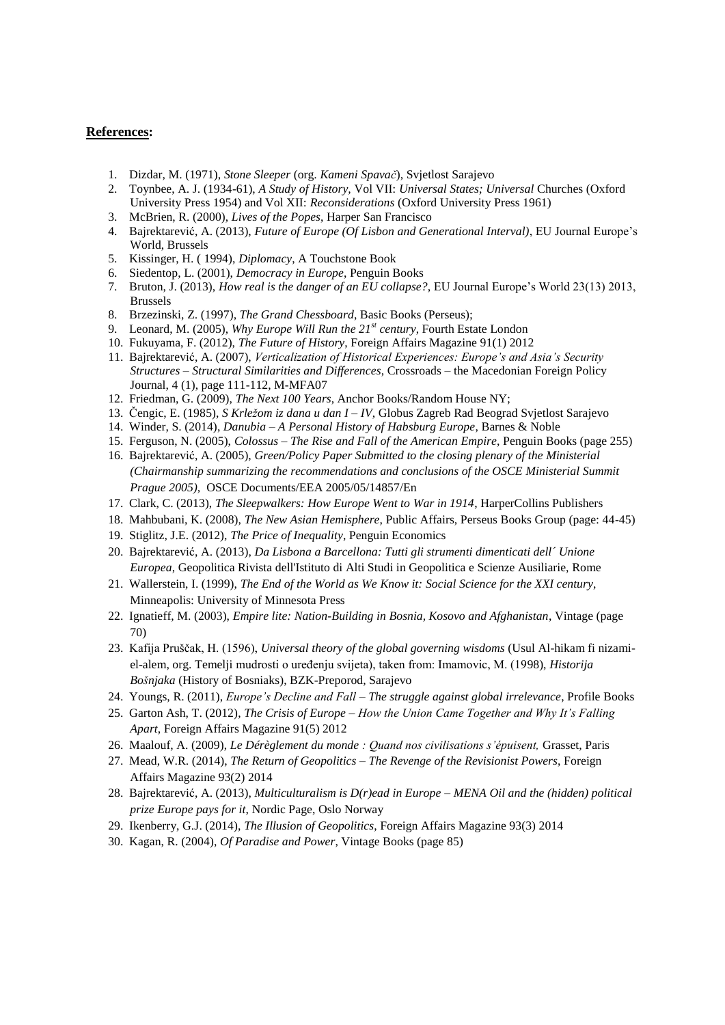#### **References:**

- 1. Dizdar, M. (1971), *Stone Sleeper* (org. *Kameni Spavač*), Svjetlost Sarajevo
- 2. Toynbee, A. J. (1934-61), *A Study of History,* Vol VII: *Universal States; Universal* Churches (Oxford University Press 1954) and Vol XII: *Reconsiderations* (Oxford University Press 1961)
- 3. McBrien, R. (2000), *Lives of the Popes*, Harper San Francisco
- 4. Bajrektarević, A. (2013), *Future of Europe (Of Lisbon and Generational Interval)*, EU Journal Europe"s World, Brussels
- 5. Kissinger, H. ( 1994), *Diplomacy*, A Touchstone Book
- 6. Siedentop, L. (2001), *Democracy in Europe*, Penguin Books
- 7. Bruton, J. (2013), *How real is the danger of an EU collapse?*, EU Journal Europe"s World 23(13) 2013, Brussels
- 8. Brzezinski, Z. (1997), *The Grand Chessboard*, Basic Books (Perseus);
- 9. Leonard, M. (2005), *Why Europe Will Run the 21st century*, Fourth Estate London
- 10. Fukuyama, F. (2012), *The Future of History*, Foreign Affairs Magazine 91(1) 2012
- 11. Bajrektarević, A. (2007), *Verticalization of Historical Experiences: Europe's and Asia's Security Structures – Structural Similarities and Differences*, Crossroads – the Macedonian Foreign Policy Journal, 4 (1), page 111-112, M-MFA07
- 12. Friedman, G. (2009), *The Next 100 Years*, Anchor Books/Random House NY;
- 13. Čengic, E. (1985), *S Krležom iz dana u dan I – IV*, Globus Zagreb Rad Beograd Svjetlost Sarajevo
- 14. Winder, S. (2014), *Danubia – A Personal History of Habsburg Europe*, Barnes & Noble
- 15. Ferguson, N. (2005), *Colossus – The Rise and Fall of the American Empire*, Penguin Books (page 255)
- 16. Bajrektarević, A. (2005), *Green/Policy Paper Submitted to the closing plenary of the Ministerial (Chairmanship summarizing the recommendations and conclusions of the OSCE Ministerial Summit Prague 2005),* OSCE Documents/EEA 2005/05/14857/En
- 17. Clark, C. (2013), *The Sleepwalkers: How Europe Went to War in 1914*, HarperCollins Publishers
- 18. Mahbubani, K. (2008), *The New Asian Hemisphere*, Public Affairs, Perseus Books Group (page: 44-45)
- 19. Stiglitz, J.E. (2012), *The Price of Inequality*, Penguin Economics
- 20. Bajrektarević, A. (2013), *Da Lisbona a Barcellona: Tutti gli strumenti dimenticati dell´ Unione Europea*, Geopolitica Rivista dell'Istituto di Alti Studi in Geopolitica e Scienze Ausiliarie, Rome
- 21. Wallerstein, I. (1999), *The End of the World as We Know it: Social Science for the XXI century*, Minneapolis: University of Minnesota Press
- 22. Ignatieff, M. (2003), *Empire lite: Nation-Building in Bosnia, Kosovo and Afghanistan*, Vintage (page 70)
- 23. Kafija Pruščak, H. (1596), *Universal theory of the global governing wisdoms* (Usul Al-hikam fi nizamiel-alem, org. Temelji mudrosti o uređenju svijeta), taken from: Imamovic, M. (1998), *Historija Bošnjaka* (History of Bosniaks), BZK-Preporod, Sarajevo
- 24. Youngs, R. (2011), *Europe's Decline and Fall – The struggle against global irrelevance*, Profile Books
- 25. Garton Ash, T. (2012), *The Crisis of Europe – How the Union Came Together and Why It's Falling Apart*, Foreign Affairs Magazine 91(5) 2012
- 26. Maalouf, A. (2009), *Le Dérèglement du monde : Quand nos civilisations s'épuisent,* Grasset, Paris
- 27. Mead, W.R. (2014), *The Return of Geopolitics – The Revenge of the Revisionist Powers*, Foreign Affairs Magazine 93(2) 2014
- 28. Bajrektarević, A. (2013), *Multiculturalism is D(r)ead in Europe – MENA Oil and the (hidden) political prize Europe pays for it*, Nordic Page, Oslo Norway
- 29. Ikenberry, G.J. (2014), *The Illusion of Geopolitics*, Foreign Affairs Magazine 93(3) 2014
- 30. Kagan, R. (2004), *Of Paradise and Power*, Vintage Books (page 85)